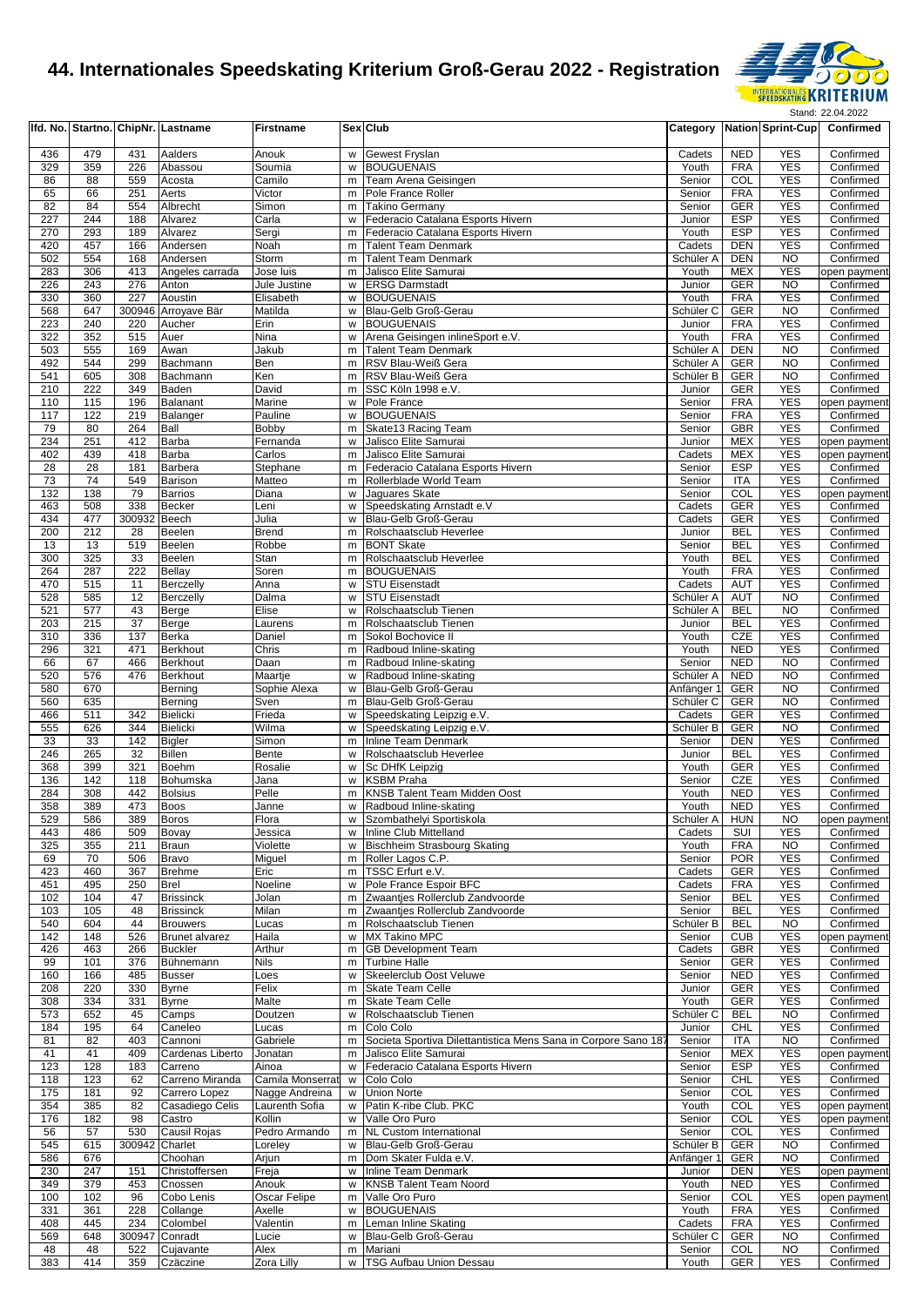

|            |            |               | Ifd. No. Startno. ChipNr. Lastname      | <b>Firstname</b>         |        | Sex Club                                                                    | Category                |                          | Nation Sprint-Cup        | Confirmed                 |
|------------|------------|---------------|-----------------------------------------|--------------------------|--------|-----------------------------------------------------------------------------|-------------------------|--------------------------|--------------------------|---------------------------|
| 436        | 479        | 431           | Aalders                                 | Anouk                    | w      | <b>Gewest Fryslan</b>                                                       | Cadets                  | <b>NED</b>               | <b>YES</b>               | Confirmed                 |
| 329        | 359        | 226           | Abassou                                 | Soumia                   | W      | <b>BOUGUENAIS</b>                                                           | Youth                   | <b>FRA</b>               | <b>YES</b>               | Confirmed                 |
| 86         | 88         | 559           | Acosta                                  | Camilo                   | m      | Team Arena Geisingen                                                        | Senior                  | COL                      | <b>YES</b>               | Confirmed                 |
| 65         | 66         | 251           | Aerts                                   | Victor                   | m      | Pole France Roller                                                          | Senior                  | <b>FRA</b>               | <b>YES</b><br><b>YES</b> | Confirmed                 |
| 82<br>227  | 84<br>244  | 554<br>188    | Albrecht<br>Alvarez                     | Simon<br>Carla           | m<br>W | <b>Takino Germany</b><br>Federacio Catalana Esports Hivern                  | Senior<br>Junior        | <b>GER</b><br><b>ESP</b> | <b>YES</b>               | Confirmed<br>Confirmed    |
| 270        | 293        | 189           | Alvarez                                 | Sergi                    | m      | Federacio Catalana Esports Hivern                                           | Youth                   | <b>ESP</b>               | <b>YES</b>               | Confirmed                 |
| 420        | 457        | 166           | Andersen                                | Noah                     | m      | <b>Talent Team Denmark</b>                                                  | Cadets                  | <b>DEN</b>               | <b>YES</b>               | Confirmed                 |
| 502        | 554        | 168           | Andersen                                | Storm                    | m      | <b>Talent Team Denmark</b>                                                  | Schüler A               | <b>DEN</b>               | <b>NO</b>                | Confirmed                 |
| 283        | 306        | 413           | Angeles carrada                         | Jose luis                | m      | Jalisco Elite Samurai                                                       | Youth                   | <b>MEX</b>               | <b>YES</b>               | open payment              |
| 226        | 243        | 276           | Anton                                   | Jule Justine             | w      | <b>ERSG Darmstadt</b><br><b>BOUGUENAIS</b>                                  | Junior                  | GER                      | <b>NO</b>                | Confirmed                 |
| 330<br>568 | 360<br>647 | 227           | Aoustin<br>300946 Arroyave Bär          | Elisabeth<br>Matilda     | w<br>w | Blau-Gelb Groß-Gerau                                                        | Youth<br>Schüler C      | <b>FRA</b><br><b>GER</b> | <b>YES</b><br><b>NO</b>  | Confirmed<br>Confirmed    |
| 223        | 240        | 220           | Aucher                                  | Erin                     | w      | <b>BOUGUENAIS</b>                                                           | Junior                  | <b>FRA</b>               | <b>YES</b>               | Confirmed                 |
| 322        | 352        | 515           | Auer                                    | Nina                     | w      | Arena Geisingen inlineSport e.V.                                            | Youth                   | <b>FRA</b>               | <b>YES</b>               | Confirmed                 |
| 503        | 555        | 169           | Awan                                    | Jakub                    | m      | <b>Talent Team Denmark</b>                                                  | Schüler A               | <b>DEN</b>               | <b>NO</b>                | Confirmed                 |
| 492        | 544        | 299           | Bachmann                                | Ben                      | m      | RSV Blau-Weiß Gera                                                          | Schüler A               | GER                      | <b>NO</b>                | Confirmed                 |
| 541        | 605        | 308           | Bachmann                                | Ken                      | m      | RSV Blau-Weiß Gera                                                          | Schüler B               | <b>GER</b>               | <b>NO</b><br><b>YES</b>  | Confirmed                 |
| 210<br>110 | 222<br>115 | 349<br>196    | Baden<br>Balanant                       | David<br>Marine          | m<br>w | SSC Köln 1998 e.V.<br>Pole France                                           | Junior<br>Senior        | GER<br><b>FRA</b>        | <b>YES</b>               | Confirmed<br>open payment |
| 117        | 122        | 219           | Balanger                                | Pauline                  | w      | <b>BOUGUENAIS</b>                                                           | Senior                  | <b>FRA</b>               | <b>YES</b>               | Confirmed                 |
| 79         | 80         | 264           | Ball                                    | Bobby                    | m      | Skate13 Racing Team                                                         | Senior                  | <b>GBR</b>               | <b>YES</b>               | Confirmed                 |
| 234        | 251        | 412           | Barba                                   | Fernanda                 | W      | Jalisco Elite Samurai                                                       | Junior                  | <b>MEX</b>               | <b>YES</b>               | open payment              |
| 402        | 439        | 418           | Barba                                   | Carlos                   | m      | Jalisco Elite Samurai                                                       | Cadets                  | <b>MEX</b>               | <b>YES</b>               | open payment              |
| 28         | 28         | 181           | Barbera                                 | Stephane                 | m      | Federacio Catalana Esports Hivern                                           | Senior                  | ESP                      | <b>YES</b>               | Confirmed                 |
| 73<br>132  | 74<br>138  | 549<br>79     | <b>Barison</b><br><b>Barrios</b>        | Matteo<br>Diana          | m<br>W | Rollerblade World Team<br>Jaguares Skate                                    | Senior<br>Senior        | ITA<br>COL               | <b>YES</b><br><b>YES</b> | Confirmed<br>open payment |
| 463        | 508        | 338           | <b>Becker</b>                           | Leni                     | w      | Speedskating Arnstadt e.V                                                   | Cadets                  | GER                      | <b>YES</b>               | Confirmed                 |
| 434        | 477        | 300932 Beech  |                                         | Julia                    | W      | Blau-Gelb Groß-Gerau                                                        | Cadets                  | GER                      | <b>YES</b>               | Confirmed                 |
| 200        | 212        | 28            | Beelen                                  | <b>Brend</b>             | m      | Rolschaatsclub Heverlee                                                     | Junior                  | <b>BEL</b>               | <b>YES</b>               | Confirmed                 |
| 13         | 13         | 519           | <b>Beelen</b>                           | Robbe                    | m      | <b>BONT Skate</b>                                                           | Senior                  | <b>BEL</b>               | <b>YES</b>               | Confirmed                 |
| 300        | 325        | 33            | Beelen                                  | Stan                     | m      | Rolschaatsclub Heverlee                                                     | Youth                   | <b>BEL</b>               | <b>YES</b>               | Confirmed                 |
| 264<br>470 | 287<br>515 | 222<br>11     | <b>Bellay</b>                           | Soren                    | m<br>w | <b>BOUGUENAIS</b><br><b>STU Eisenstadt</b>                                  | Youth<br>Cadets         | <b>FRA</b><br><b>AUT</b> | <b>YES</b><br><b>YES</b> | Confirmed<br>Confirmed    |
| 528        | 585        | 12            | <b>Berczelly</b><br>Berczelly           | Anna<br>Dalma            | w      | <b>STU Eisenstadt</b>                                                       | Schüler A               | <b>AUT</b>               | <b>NO</b>                | Confirmed                 |
| 521        | 577        | 43            | Berge                                   | Elise                    | w      | Rolschaatsclub Tienen                                                       | Schüler A               | <b>BEL</b>               | <b>NO</b>                | Confirmed                 |
| 203        | 215        | 37            | Berge                                   | Laurens                  | m      | Rolschaatsclub Tienen                                                       | Junior                  | <b>BEL</b>               | <b>YES</b>               | Confirmed                 |
| 310        | 336        | 137           | Berka                                   | Daniel                   | m      | Sokol Bochovice II                                                          | Youth                   | <b>CZE</b>               | <b>YES</b>               | Confirmed                 |
| 296        | 321        | 471           | Berkhout                                | Chris                    | m      | Radboud Inline-skating                                                      | Youth                   | <b>NED</b>               | <b>YES</b>               | Confirmed                 |
| 66<br>520  | 67<br>576  | 466<br>476    | Berkhout                                | Daan                     | m<br>w | Radboud Inline-skating                                                      | Senior                  | <b>NED</b><br><b>NED</b> | <b>NO</b><br><b>NO</b>   | Confirmed                 |
| 580        | 670        |               | <b>Berkhout</b><br>Berning              | Maartje<br>Sophie Alexa  | W      | Radboud Inline-skating<br>Blau-Gelb Groß-Gerau                              | Schüler A<br>Anfänger 1 | <b>GER</b>               | N <sub>O</sub>           | Confirmed<br>Confirmed    |
| 560        | 635        |               | Berning                                 | Sven                     | m      | Blau-Gelb Groß-Gerau                                                        | Schüler C               | <b>GER</b>               | <b>NO</b>                | Confirmed                 |
| 466        | 511        | 342           | Bielicki                                | Frieda                   | W      | Speedskating Leipzig e.V.                                                   | Cadets                  | GER                      | <b>YES</b>               | Confirmed                 |
| 555        | 626        | 344           | Bielicki                                | Wilma                    | w      | Speedskating Leipzig e.V.                                                   | Schüler B               | GER                      | <b>NO</b>                | Confirmed                 |
| 33         | 33         | 142           | <b>Bigler</b>                           | Simon                    | m      | <b>Inline Team Denmark</b>                                                  | Senior                  | <b>DEN</b>               | <b>YES</b>               | Confirmed                 |
| 246        | 265        | 32            | Billen                                  | Bente                    | w      | Rolschaatsclub Heverlee                                                     | Junior                  | <b>BEL</b>               | <b>YES</b>               | Confirmed                 |
| 368<br>136 | 399<br>142 | 321<br>118    | <b>Boehm</b><br>Bohumska                | Rosalie<br>Jana          | w<br>W | Sc DHfK Leipzig<br><b>KSBM Praha</b>                                        | Youth<br>Senior         | GER<br>CZE               | <b>YES</b><br><b>YES</b> | Confirmed<br>Confirmed    |
| 284        | 308        | 442           | <b>Bolsius</b>                          | Pelle                    | m      | KNSB Talent Team Midden Oost                                                | Youth                   | <b>NED</b>               | <b>YES</b>               | Confirmed                 |
| 358        | 389        | 473           | <b>Boos</b>                             | Janne                    | w      | Radboud Inline-skating                                                      | Youth                   | <b>NED</b>               | <b>YES</b>               | Confirmed                 |
| 529        | 586        | 389           | <b>Boros</b>                            | Flora                    |        | w Szombathelyi Sportiskola                                                  | Schüler A HUN           |                          | <b>NO</b>                | open payment              |
| 443        | 486        | 509           | Bovay                                   | Jessica                  |        | w Inline Club Mittelland                                                    | Cadets                  | SUI                      | <b>YES</b>               | Confirmed                 |
| 325        | 355        | 211           | <b>Braun</b>                            | Violette                 |        | w Bischheim Strasbourg Skating                                              | Youth                   | <b>FRA</b>               | <b>NO</b>                | Confirmed                 |
| 69<br>423  | 70<br>460  | 506<br>367    | Bravo<br><b>Brehme</b>                  | Miguel<br>Eric           |        | m Roller Lagos C.P.<br>m   TSSC Erfurt e.V.                                 | Senior<br>Cadets        | <b>POR</b><br>GER        | <b>YES</b><br><b>YES</b> | Confirmed<br>Confirmed    |
| 451        | 495        | 250           | <b>Brel</b>                             | Noeline                  | W      | Pole France Espoir BFC                                                      | Cadets                  | <b>FRA</b>               | <b>YES</b>               | Confirmed                 |
| 102        | 104        | 47            | <b>Brissinck</b>                        | Jolan                    | m      | Zwaantjes Rollerclub Zandvoorde                                             | Senior                  | <b>BEL</b>               | <b>YES</b>               | Confirmed                 |
| 103        | 105        | 48            | <b>Brissinck</b>                        | Milan                    | m      | Zwaantjes Rollerclub Zandvoorde                                             | Senior                  | <b>BEL</b>               | <b>YES</b>               | Confirmed                 |
| 540        | 604        | 44            | <b>Brouwers</b>                         | Lucas                    | m      | Rolschaatsclub Tienen                                                       | Schüler B               | <b>BEL</b>               | <b>NO</b>                | Confirmed                 |
| 142<br>426 | 148<br>463 | 526<br>266    | <b>Brunet alvarez</b><br><b>Buckler</b> | Haila                    | w      | <b>MX Takino MPC</b><br><b>GB Development Team</b>                          | Senior<br>Cadets        | <b>CUB</b><br><b>GBR</b> | <b>YES</b><br><b>YES</b> | open payment<br>Confirmed |
| 99         | 101        | 376           | Bühnemann                               | Arthur<br>Nils           | m<br>m | <b>Turbine Halle</b>                                                        | Senior                  | GER                      | <b>YES</b>               | Confirmed                 |
| 160        | 166        | 485           | <b>Busser</b>                           | Loes                     | W      | Skeelerclub Oost Veluwe                                                     | Senior                  | <b>NED</b>               | <b>YES</b>               | Confirmed                 |
| 208        | 220        | 330           | <b>Byrne</b>                            | Felix                    | m      | Skate Team Celle                                                            | Junior                  | <b>GER</b>               | <b>YES</b>               | Confirmed                 |
| 308        | 334        | 331           | <b>Byrne</b>                            | Malte                    | m      | <b>Skate Team Celle</b>                                                     | Youth                   | <b>GER</b>               | <b>YES</b>               | Confirmed                 |
| 573        | 652        | 45            | Camps                                   | Doutzen                  | W      | Rolschaatsclub Tienen                                                       | Schüler <sub>C</sub>    | <b>BEL</b>               | <b>NO</b>                | Confirmed                 |
| 184<br>81  | 195<br>82  | 64<br>403     | Caneleo<br>Cannoni                      | Lucas<br>Gabriele        | m<br>m | Colo Colo<br>Societa Sportiva Dilettantistica Mens Sana in Corpore Sano 187 | Junior<br>Senior        | <b>CHL</b><br><b>ITA</b> | <b>YES</b><br><b>NO</b>  | Confirmed<br>Confirmed    |
| 41         | 41         | 409           | Cardenas Liberto                        | Jonatan                  | m      | Jalisco Elite Samurai                                                       | Senior                  | <b>MEX</b>               | <b>YES</b>               | open payment              |
| 123        | 128        | 183           | Carreno                                 | Ainoa                    | W      | Federacio Catalana Esports Hivern                                           | Senior                  | ESP                      | <b>YES</b>               | Confirmed                 |
| 118        | 123        | 62            | Carreno Miranda                         | Camila Monserrat         | w      | Colo Colo                                                                   | Senior                  | <b>CHL</b>               | <b>YES</b>               | Confirmed                 |
| 175        | 181        | 92            | Carrero Lopez                           | Nagge Andreina           | w      | Union Norte                                                                 | Senior                  | COL                      | <b>YES</b>               | Confirmed                 |
| 354        | 385        | 82            | Casadiego Celis                         | Laurenth Sofia           | w      | Patin K-ribe Club. PKC                                                      | Youth                   | COL                      | <b>YES</b>               | open payment              |
| 176<br>56  | 182<br>57  | 98<br>530     | Castro<br>Causil Rojas                  | Kollin                   | w      | Valle Oro Puro                                                              | Senior<br>Senior        | COL<br>COL               | <b>YES</b><br><b>YES</b> | open payment              |
| 545        | 615        | 300942        | Charlet                                 | Pedro Armando<br>Loreley | w      | m NL Custom International<br>Blau-Gelb Groß-Gerau                           | Schüler B               | <b>GER</b>               | <b>NO</b>                | Confirmed<br>Confirmed    |
| 586        | 676        |               | Choohan                                 | Arjun                    | m      | Dom Skater Fulda e.V.                                                       | Anfänger 1              | GER                      | NO                       | Confirmed                 |
| 230        | 247        | 151           | Christoffersen                          | Freja                    | W      | Inline Team Denmark                                                         | Junior                  | <b>DEN</b>               | <b>YES</b>               | open payment              |
| 349        | 379        | 453           | Cnossen                                 | Anouk                    | w      | <b>KNSB Talent Team Noord</b>                                               | Youth                   | <b>NED</b>               | <b>YES</b>               | Confirmed                 |
| 100        | 102        | 96            | Cobo Lenis                              | Oscar Felipe             | m      | Valle Oro Puro                                                              | Senior                  | COL                      | <b>YES</b>               | open payment              |
| 331        | 361        | 228           | Collange                                | Axelle                   | W      | <b>BOUGUENAIS</b><br>Leman Inline Skating                                   | Youth                   | <b>FRA</b>               | <b>YES</b>               | Confirmed                 |
| 408<br>569 | 445<br>648 | 234<br>300947 | Colombel<br>Conradt                     | Valentin<br>Lucie        | m      | w Blau-Gelb Groß-Gerau                                                      | Cadets<br>Schüler C     | <b>FRA</b><br>GER        | <b>YES</b><br><b>NO</b>  | Confirmed<br>Confirmed    |
| 48         | 48         | 522           | Cujavante                               | Alex                     |        | m Mariani                                                                   | Senior                  | COL                      | <b>NO</b>                | Confirmed                 |
| 383        | 414        | 359           | Czäczine                                | Zora Lilly               |        | w   TSG Aufbau Union Dessau                                                 | Youth                   | GER                      | <b>YES</b>               | Confirmed                 |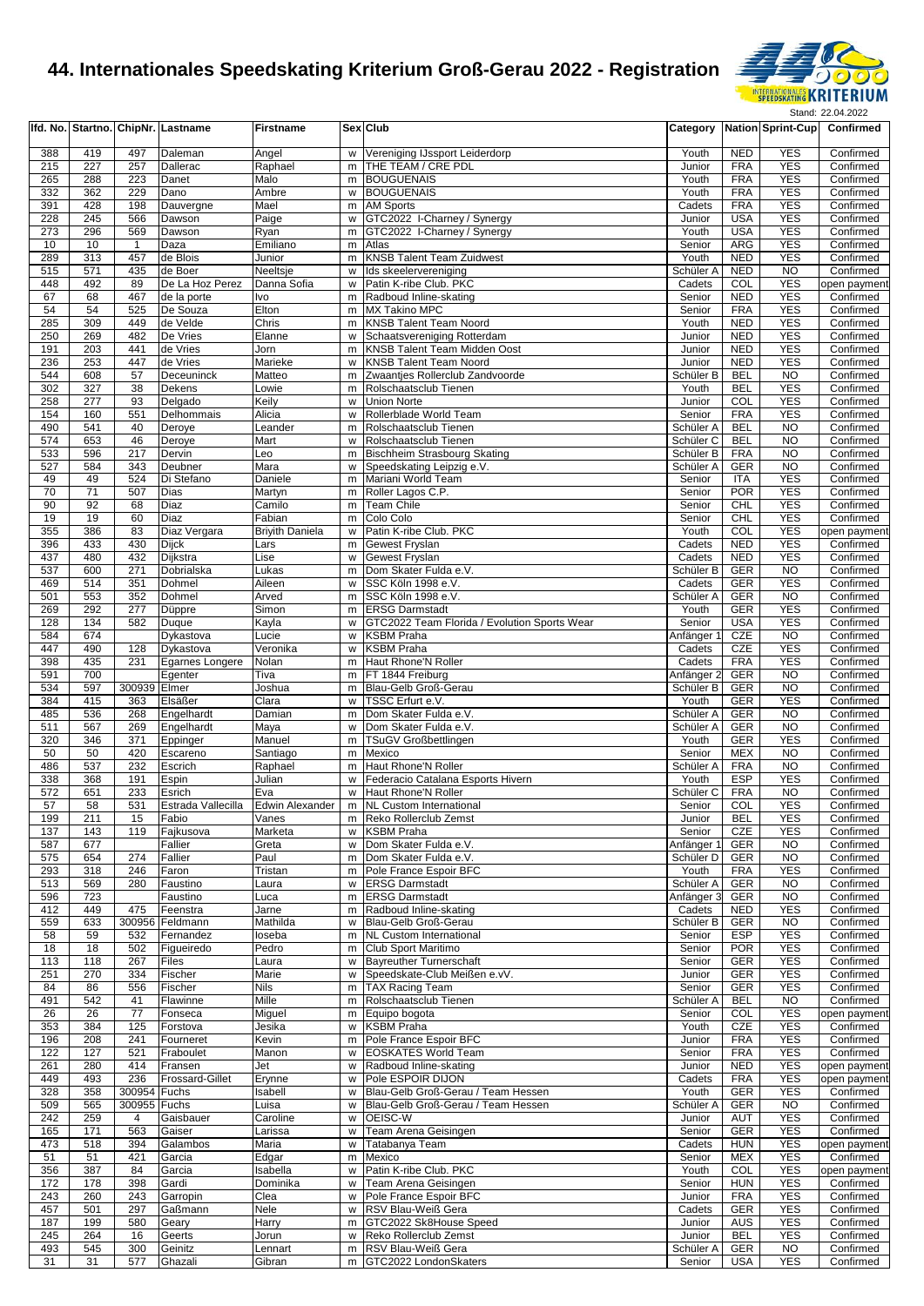

|            |            |              | Ifd. No. Startno. ChipNr. Lastname | <b>Firstname</b>       |        | Sex Club                                                              | Category              |                          | <b>Nation Sprint-Cup</b> | Confirmed              |
|------------|------------|--------------|------------------------------------|------------------------|--------|-----------------------------------------------------------------------|-----------------------|--------------------------|--------------------------|------------------------|
| 388        | 419        | 497          | Daleman                            | Angel                  | w      | Vereniging IJssport Leiderdorp                                        | Youth                 | <b>NED</b>               | <b>YES</b>               | Confirmed              |
| 215        | 227        | 257          | Dallerac                           | Raphael                | m      | THE TEAM / CRE PDL                                                    | Junior                | <b>FRA</b>               | <b>YES</b>               | Confirmed              |
| 265        | 288        | 223          | Danet                              | Malo                   | m      | <b>BOUGUENAIS</b>                                                     | Youth                 | <b>FRA</b>               | <b>YES</b>               | Confirmed              |
| 332        | 362        | 229          | Dano                               | Ambre                  | W      | <b>BOUGUENAIS</b>                                                     | Youth                 | <b>FRA</b>               | <b>YES</b>               | Confirmed              |
| 391        | 428        | 198          | Dauvergne                          | Mael                   | m      | <b>AM Sports</b>                                                      | Cadets                | <b>FRA</b>               | <b>YES</b>               | Confirmed              |
| 228        | 245        | 566          | Dawson                             | Paige                  | w      | GTC2022 I-Charney / Synergy                                           | Junior                | <b>USA</b>               | <b>YES</b>               | Confirmed              |
| 273<br>10  | 296<br>10  | 569<br>1     | Dawson<br>Daza                     | Ryan<br>Emiliano       | m<br>m | GTC2022 I-Charney / Synergy<br>Atlas                                  | Youth<br>Senior       | <b>USA</b><br>ARG        | <b>YES</b><br><b>YES</b> | Confirmed<br>Confirmed |
| 289        | 313        | 457          | de Blois                           | Junior                 | m      | <b>KNSB Talent Team Zuidwest</b>                                      | Youth                 | <b>NED</b>               | <b>YES</b>               | Confirmed              |
| 515        | 571        | 435          | de Boer                            | Neeltsje               | W      | Ids skeelervereniging                                                 | Schüler A             | <b>NED</b>               | N <sub>O</sub>           | Confirmed              |
| 448        | 492        | 89           | De La Hoz Perez                    | Danna Sofia            | w      | Patin K-ribe Club. PKC                                                | Cadets                | COL                      | <b>YES</b>               | open payment           |
| 67         | 68         | 467          | de la porte                        | Ivo                    | m      | Radboud Inline-skating                                                | Senior                | <b>NED</b>               | <b>YES</b>               | Confirmed              |
| 54         | 54         | 525          | De Souza                           | Elton                  | m      | <b>MX Takino MPC</b>                                                  | Senior                | <b>FRA</b>               | <b>YES</b>               | Confirmed              |
| 285        | 309        | 449          | de Velde                           | Chris                  | m      | <b>KNSB Talent Team Noord</b>                                         | Youth                 | <b>NED</b>               | <b>YES</b>               | Confirmed              |
| 250        | 269        | 482          | De Vries                           | Elanne                 | w      | Schaatsvereniging Rotterdam                                           | Junior                | <b>NED</b>               | <b>YES</b>               | Confirmed              |
| 191        | 203        | 441          | de Vries                           | Jorn                   | m      | KNSB Talent Team Midden Oost                                          | Junior                | <b>NED</b>               | <b>YES</b>               | Confirmed              |
| 236<br>544 | 253<br>608 | 447<br>57    | de Vries<br>Deceuninck             | Marieke<br>Matteo      | w<br>m | KNSB Talent Team Noord<br>Zwaantjes Rollerclub Zandvoorde             | Junior<br>Schüler B   | <b>NED</b><br><b>BEL</b> | <b>YES</b><br><b>NO</b>  | Confirmed<br>Confirmed |
| 302        | 327        | 38           | Dekens                             | Lowie                  | m      | Rolschaatsclub Tienen                                                 | Youth                 | <b>BEL</b>               | <b>YES</b>               | Confirmed              |
| 258        | 277        | 93           | Delgado                            | Keily                  | W      | <b>Union Norte</b>                                                    | Junior                | COL                      | <b>YES</b>               | Confirmed              |
| 154        | 160        | 551          | Delhommais                         | Alicia                 | W      | Rollerblade World Team                                                | Senior                | <b>FRA</b>               | <b>YES</b>               | Confirmed              |
| 490        | 541        | 40           | Deroye                             | Leander                | m      | Rolschaatsclub Tienen                                                 | Schüler A             | <b>BEL</b>               | <b>NO</b>                | Confirmed              |
| 574        | 653        | 46           | Deroye                             | Mart                   | w      | Rolschaatsclub Tienen                                                 | Schüler C             | <b>BEL</b>               | <b>NO</b>                | Confirmed              |
| 533        | 596        | 217          | Dervin                             | Leo                    | m      | Bischheim Strasbourg Skating                                          | Schüler B             | <b>FRA</b>               | <b>NO</b>                | Confirmed              |
| 527        | 584        | 343          | Deubner                            | Mara                   | w      | Speedskating Leipzig e.V.                                             | Schüler A             | <b>GER</b>               | N <sub>O</sub>           | Confirmed              |
| 49         | 49         | 524          | Di Stefano                         | Daniele                | m      | Mariani World Team                                                    | Senior                | <b>ITA</b>               | <b>YES</b>               | Confirmed              |
| 70<br>90   | 71<br>92   | 507<br>68    | Dias<br>Diaz                       | Martyn<br>Camilo       | m<br>m | Roller Lagos C.P.<br>Team Chile                                       | Senior<br>Senior      | <b>POR</b><br>CHL        | <b>YES</b><br><b>YES</b> | Confirmed<br>Confirmed |
| 19         | 19         | 60           | Diaz                               | Fabian                 | m      | Colo Colo                                                             | Senior                | <b>CHL</b>               | <b>YES</b>               | Confirmed              |
| 355        | 386        | 83           | Diaz Vergara                       | <b>Briyith Daniela</b> | W      | Patin K-ribe Club. PKC                                                | Youth                 | COL                      | <b>YES</b>               | open payment           |
| 396        | 433        | 430          | Dijck                              | Lars                   | m      | Gewest Fryslan                                                        | Cadets                | <b>NED</b>               | <b>YES</b>               | Confirmed              |
| 437        | 480        | 432          | Dijkstra                           | Lise                   | W      | <b>Gewest Fryslan</b>                                                 | Cadets                | <b>NED</b>               | <b>YES</b>               | Confirmed              |
| 537        | 600        | 271          | Dobrialska                         | Lukas                  | m      | Dom Skater Fulda e.V.                                                 | Schüler B             | GER                      | <b>NO</b>                | Confirmed              |
| 469        | 514        | 351          | Dohmel                             | Aileen                 | w      | SSC Köln 1998 e.V.                                                    | Cadets                | GER                      | <b>YES</b>               | Confirmed              |
| 501        | 553        | 352          | Dohmel                             | Arved                  | m      | SSC Köln 1998 e.V.                                                    | Schüler A             | <b>GER</b>               | N <sub>O</sub>           | Confirmed              |
| 269<br>128 | 292<br>134 | 277<br>582   | Düppre                             | Simon                  | m      | <b>ERSG Darmstadt</b><br>GTC2022 Team Florida / Evolution Sports Wear | Youth<br>Senior       | GER<br><b>USA</b>        | <b>YES</b><br><b>YES</b> | Confirmed<br>Confirmed |
| 584        | 674        |              | Duque<br>Dykastova                 | Kayla<br>Lucie         | w<br>w | <b>KSBM Praha</b>                                                     | Anfänger <sup>.</sup> | CZE                      | <b>NO</b>                | Confirmed              |
| 447        | 490        | 128          | Dykastova                          | Veronika               | w      | <b>KSBM Praha</b>                                                     | Cadets                | <b>CZE</b>               | <b>YES</b>               | Confirmed              |
| 398        | 435        | 231          | Egarnes Longere                    | Nolan                  | m      | Haut Rhone'N Roller                                                   | Cadets                | <b>FRA</b>               | <b>YES</b>               | Confirmed              |
| 591        | 700        |              | Egenter                            | Tiva                   | m      | FT 1844 Freiburg                                                      | Anfänger 2            | <b>GER</b>               | NO                       | Confirmed              |
| 534        | 597        | 300939 Elmer |                                    | Joshua                 | m      | Blau-Gelb Groß-Gerau                                                  | Schüler B             | GER                      | <b>NO</b>                | Confirmed              |
| 384        | 415        | 363          | Elsäßer                            | Clara                  | w      | TSSC Erfurt e.V.                                                      | Youth                 | GER                      | <b>YES</b>               | Confirmed              |
| 485        | 536        | 268          | Engelhardt                         | Damian                 | m      | Dom Skater Fulda e.V.                                                 | Schüler A             | GER                      | <b>NO</b>                | Confirmed              |
| 511        | 567        | 269          | Engelhardt                         | Maya                   | w      | Dom Skater Fulda e.V.                                                 | Schüler A             | <b>GER</b>               | NO                       | Confirmed              |
| 320<br>50  | 346<br>50  | 371<br>420   | Eppinger                           | Manuel                 | m      | <b>TSuGV Großbettlingen</b><br>Mexico                                 | Youth<br>Senior       | GER                      | <b>YES</b><br><b>NO</b>  | Confirmed              |
| 486        | 537        | 232          | Escareno<br>Escrich                | Santiago<br>Raphael    | m<br>m | Haut Rhone'N Roller                                                   | Schüler A             | <b>MEX</b><br><b>FRA</b> | <b>NO</b>                | Confirmed<br>Confirmed |
| 338        | 368        | 191          | Espin                              | Julian                 | w      | Federacio Catalana Esports Hivern                                     | Youth                 | <b>ESP</b>               | <b>YES</b>               | Confirmed              |
| 572        | 651        | 233          | Esrich                             | Eva                    | w      | Haut Rhone'N Roller                                                   | Schüler <sub>C</sub>  | <b>FRA</b>               | <b>NO</b>                | Confirmed              |
| 57         | 58         | 531          | Estrada Vallecilla                 | <b>Edwin Alexander</b> |        | m NL Custom International                                             | Senior                | COL                      | <b>YES</b>               | Confirmed              |
| 199        | 211        | 15           | Fabio                              | Vanes                  |        | m Reko Rollerclub Zemst                                               | Junior                | <b>BEL</b>               | <b>YES</b>               | Confirmed              |
| 137        | 143        | 119          | Fajkusova                          | Marketa                | w      | <b>KSBM Praha</b>                                                     | Senior                | CZE                      | <b>YES</b>               | Confirmed              |
| 587        | 677        |              | Fallier                            | Greta                  | W      | Dom Skater Fulda e.V.                                                 | Anfänger 1            | <b>GER</b>               | <b>NO</b>                | Confirmed              |
| 575        | 654        | 274          | Fallier                            | Paul                   | m      | Dom Skater Fulda e.V.                                                 | Schüler D             | <b>GER</b>               | <b>NO</b>                | Confirmed              |
| 293<br>513 | 318<br>569 | 246<br>280   | Faron<br>Faustino                  | Tristan<br>Laura       | m<br>W | Pole France Espoir BFC<br><b>ERSG Darmstadt</b>                       | Youth<br>Schüler A    | <b>FRA</b><br>GER        | <b>YES</b><br><b>NO</b>  | Confirmed<br>Confirmed |
| 596        | 723        |              | Faustino                           | Luca                   | m      | <b>ERSG Darmstadt</b>                                                 | Anfänger 3            | GER                      | <b>NO</b>                | Confirmed              |
| 412        | 449        | 475          | Feenstra                           | Jarne                  | m      | Radboud Inline-skating                                                | Cadets                | <b>NED</b>               | <b>YES</b>               | Confirmed              |
| 559        | 633        |              | 300956 Feldmann                    | Mathilda               | W      | Blau-Gelb Groß-Gerau                                                  | Schüler B             | <b>GER</b>               | <b>NO</b>                | Confirmed              |
| 58         | 59         | 532          | Fernandez                          | loseba                 | m      | <b>NL Custom International</b>                                        | Senior                | <b>ESP</b>               | <b>YES</b>               | Confirmed              |
| 18         | 18         | 502          | Figueiredo                         | Pedro                  | m      | Club Sport Maritimo                                                   | Senior                | <b>POR</b>               | <b>YES</b>               | Confirmed              |
| 113        | 118        | 267          | Files                              | Laura                  | w      | <b>Bayreuther Turnerschaft</b>                                        | Senior                | GER                      | <b>YES</b>               | Confirmed              |
| 251        | 270        | 334          | Fischer                            | Marie                  | W      | Speedskate-Club Meißen e.vV.                                          | Junior                | GER                      | <b>YES</b>               | Confirmed              |
| 84<br>491  | 86<br>542  | 556<br>41    | Fischer<br>Flawinne                | <b>Nils</b><br>Mille   | m<br>m | <b>TAX Racing Team</b><br>Rolschaatsclub Tienen                       | Senior<br>Schüler A   | <b>GER</b><br><b>BEL</b> | <b>YES</b><br><b>NO</b>  | Confirmed<br>Confirmed |
| 26         | 26         | 77           | Fonseca                            | Miguel                 | m      | Equipo bogota                                                         | Senior                | COL                      | <b>YES</b>               | open payment           |
| 353        | 384        | 125          | Forstova                           | Jesika                 | W      | <b>KSBM Praha</b>                                                     | Youth                 | CZE                      | <b>YES</b>               | Confirmed              |
| 196        | 208        | 241          | Fourneret                          | Kevin                  | m      | Pole France Espoir BFC                                                | Junior                | <b>FRA</b>               | <b>YES</b>               | Confirmed              |
| 122        | 127        | 521          | Fraboulet                          | Manon                  | w      | <b>EOSKATES World Team</b>                                            | Senior                | <b>FRA</b>               | <b>YES</b>               | Confirmed              |
| 261        | 280        | 414          | Fransen                            | Jet                    | W      | Radboud Inline-skating                                                | Junior                | <b>NED</b>               | <b>YES</b>               | open payment           |
| 449        | 493        | 236          | <b>Frossard-Gillet</b>             | Erynne                 | w      | Pole ESPOIR DIJON                                                     | Cadets                | <b>FRA</b>               | <b>YES</b>               | open payment           |
| 328        | 358        | 300954 Fuchs |                                    | Isabell                | w      | Blau-Gelb Groß-Gerau / Team Hessen                                    | Youth                 | GER                      | <b>YES</b>               | Confirmed              |
| 509        | 565        | 300955 Fuchs |                                    | Luisa                  | W      | Blau-Gelb Groß-Gerau / Team Hessen                                    | Schüler A             | GER                      | <b>NO</b>                | Confirmed              |
| 242<br>165 | 259<br>171 | 4<br>563     | Gaisbauer<br>Gaiser                | Caroline<br>Larissa    | W<br>W | OEISC-W<br>Team Arena Geisingen                                       | Junior<br>Senior      | <b>AUT</b><br>GER        | <b>YES</b><br><b>YES</b> | Confirmed<br>Confirmed |
| 473        | 518        | 394          | Galambos                           | Maria                  | w      | Tatabanya Team                                                        | Cadets                | <b>HUN</b>               | <b>YES</b>               | open payment           |
| 51         | 51         | 421          | Garcia                             | Edgar                  | m      | Mexico                                                                | Senior                | <b>MEX</b>               | <b>YES</b>               | Confirmed              |
| 356        | 387        | 84           | Garcia                             | Isabella               | w      | Patin K-ribe Club. PKC                                                | Youth                 | COL                      | <b>YES</b>               | open payment           |
| 172        | 178        | 398          | Gardi                              | Dominika               | w      | Team Arena Geisingen                                                  | Senior                | <b>HUN</b>               | <b>YES</b>               | Confirmed              |
| 243        | 260        | 243          | Garropin                           | Clea                   | w      | Pole France Espoir BFC                                                | Junior                | <b>FRA</b>               | <b>YES</b>               | Confirmed              |
| 457        | 501        | 297          | Gaßmann                            | Nele                   | w      | RSV Blau-Weiß Gera                                                    | Cadets                | GER                      | <b>YES</b>               | Confirmed              |
| 187        | 199        | 580          | Geary                              | Harry                  | m      | GTC2022 Sk8House Speed                                                | Junior                | AUS                      | <b>YES</b>               | Confirmed              |
| 245        | 264        | 16           | Geerts                             | Jorun                  |        | w Reko Rollerclub Zemst                                               | Junior                | <b>BEL</b>               | <b>YES</b>               | Confirmed              |
| 493<br>31  | 545<br>31  | 300<br>577   | Geinitz<br>Ghazali                 | Lennart<br>Gibran      |        | m RSV Blau-Weiß Gera<br>m GTC2022 LondonSkaters                       | Schüler A<br>Senior   | GER<br>USA               | <b>NO</b><br><b>YES</b>  | Confirmed<br>Confirmed |
|            |            |              |                                    |                        |        |                                                                       |                       |                          |                          |                        |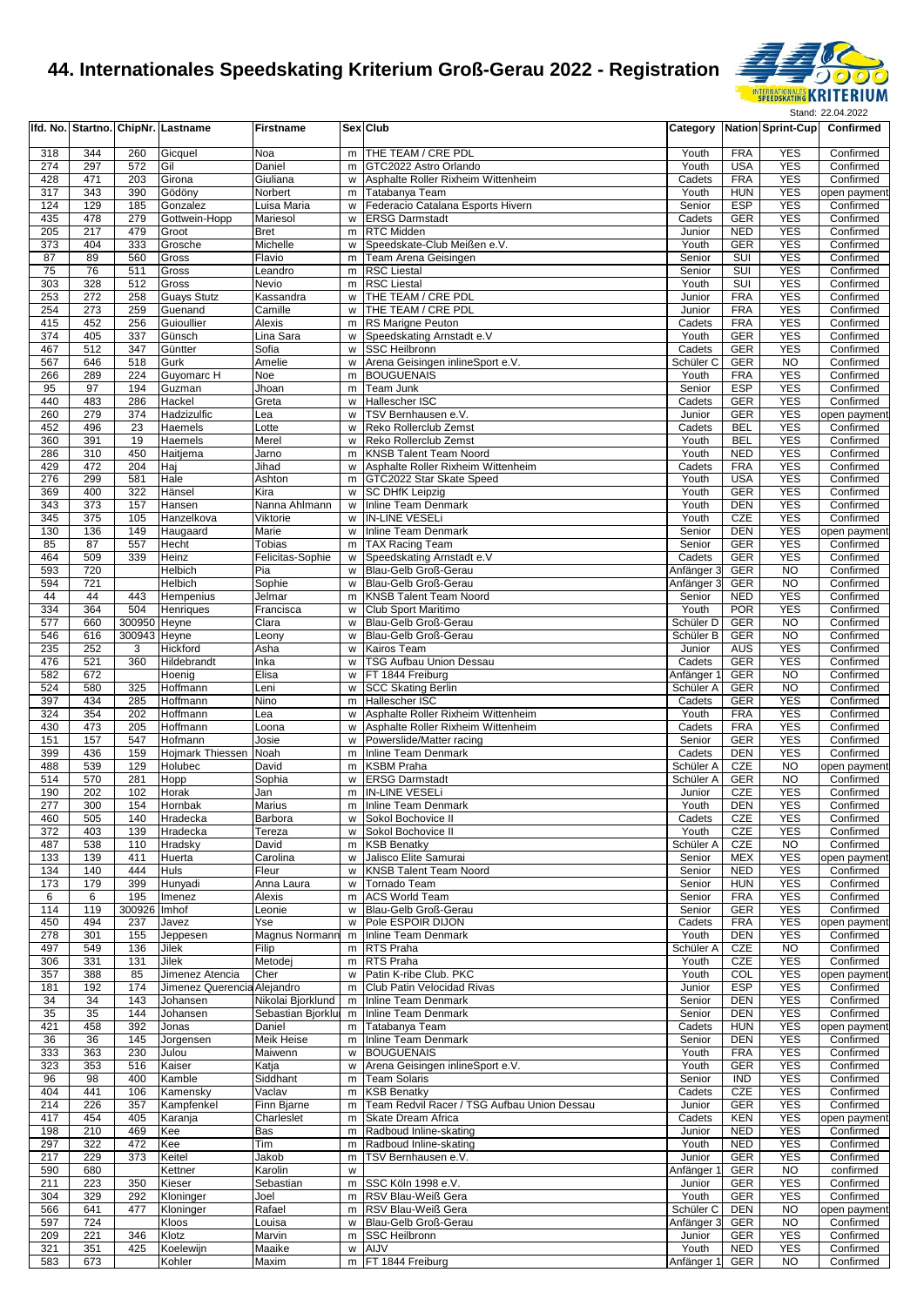

|            |            |              | Ifd. No. Startno. ChipNr. Lastname | <b>Firstname</b>        |        | Sex Club                                                                 |                                |                          | Category Nation Sprint-Cup | Confirmed                 |
|------------|------------|--------------|------------------------------------|-------------------------|--------|--------------------------------------------------------------------------|--------------------------------|--------------------------|----------------------------|---------------------------|
| 318        | 344        | 260          | Gicquel                            | Noa                     | m      | THE TEAM / CRE PDL                                                       | Youth                          | <b>FRA</b>               | <b>YES</b>                 | Confirmed                 |
| 274        | 297        | 572          | Gil                                | Daniel                  | m      | GTC2022 Astro Orlando                                                    | Youth                          | <b>USA</b>               | <b>YES</b>                 | Confirmed                 |
| 428        | 471        | 203          | Girona                             | Giuliana                | W      | Asphalte Roller Rixheim Wittenheim                                       | Cadets                         | <b>FRA</b>               | <b>YES</b>                 | Confirmed                 |
| 317        | 343        | 390          | Gödöny                             | Norbert                 | m      | Tatabanya Team                                                           | Youth                          | <b>HUN</b>               | <b>YES</b>                 | open payment              |
| 124        | 129        | 185          | Gonzalez                           | Luisa Maria             | W      | Federacio Catalana Esports Hivern                                        | Senior                         | <b>ESP</b>               | <b>YES</b>                 | Confirmed                 |
| 435        | 478        | 279          | Gottwein-Hopp                      | Mariesol                | w      | <b>ERSG Darmstadt</b>                                                    | Cadets                         | GER                      | <b>YES</b>                 | Confirmed                 |
| 205<br>373 | 217<br>404 | 479<br>333   | Groot<br>Grosche                   | <b>Bret</b><br>Michelle | m<br>w | RTC Midden<br>Speedskate-Club Meißen e.V.                                | Junior<br>Youth                | <b>NED</b><br>GER        | <b>YES</b><br><b>YES</b>   | Confirmed<br>Confirmed    |
| 87         | 89         | 560          | Gross                              | Flavio                  | m      | Team Arena Geisingen                                                     | Senior                         | SUI                      | <b>YES</b>                 | Confirmed                 |
| 75         | 76         | 511          | Gross                              | Leandro                 | m      | <b>RSC Liestal</b>                                                       | Senior                         | SUI                      | <b>YES</b>                 | Confirmed                 |
| 303        | 328        | 512          | Gross                              | Nevio                   | m      | <b>RSC Liestal</b>                                                       | Youth                          | <b>SUI</b>               | <b>YES</b>                 | Confirmed                 |
| 253        | 272        | 258          | <b>Guays Stutz</b>                 | Kassandra               | W      | THE TEAM / CRE PDL                                                       | Junior                         | <b>FRA</b>               | <b>YES</b>                 | Confirmed                 |
| 254        | 273        | 259          | Guenand                            | Camille                 | W      | THE TEAM / CRE PDL                                                       | Junior                         | <b>FRA</b>               | <b>YES</b>                 | Confirmed                 |
| 415        | 452        | 256          | Guioullier                         | Alexis                  | m      | RS Marigne Peuton                                                        | Cadets                         | <b>FRA</b>               | <b>YES</b>                 | Confirmed                 |
| 374        | 405        | 337          | Günsch                             | Lina Sara               | W      | Speedskating Arnstadt e.V                                                | Youth                          | GER                      | <b>YES</b>                 | Confirmed                 |
| 467<br>567 | 512<br>646 | 347<br>518   | Güntter<br>Gurk                    | Sofia<br>Amelie         | W<br>W | <b>SSC Heilbronn</b><br>Arena Geisingen inlineSport e.V.                 | Cadets<br>Schüler <sub>C</sub> | <b>GER</b><br>GER        | <b>YES</b><br><b>NO</b>    | Confirmed<br>Confirmed    |
| 266        | 289        | 224          | Guyomarc H                         | Noe                     | m      | <b>BOUGUENAIS</b>                                                        | Youth                          | <b>FRA</b>               | <b>YES</b>                 | Confirmed                 |
| 95         | 97         | 194          | Guzman                             | Jhoan                   | m      | Team Junk                                                                | Senior                         | <b>ESP</b>               | <b>YES</b>                 | Confirmed                 |
| 440        | 483        | 286          | Hackel                             | Greta                   | W      | Hallescher ISC                                                           | Cadets                         | <b>GER</b>               | <b>YES</b>                 | Confirmed                 |
| 260        | 279        | 374          | Hadzizulfic                        | Lea                     | W      | TSV Bernhausen e.V.                                                      | Junior                         | <b>GER</b>               | <b>YES</b>                 | open payment              |
| 452        | 496        | 23           | Haemels                            | Lotte                   | W      | Reko Rollerclub Zemst                                                    | Cadets                         | <b>BEL</b>               | <b>YES</b>                 | Confirmed                 |
| 360        | 391        | 19           | Haemels                            | Merel                   | w      | Reko Rollerclub Zemst                                                    | Youth                          | <b>BEL</b>               | <b>YES</b>                 | Confirmed                 |
| 286        | 310        | 450          | Haitjema                           | Jarno                   | m      | <b>KNSB Talent Team Noord</b>                                            | Youth<br>Cadets                | <b>NED</b>               | <b>YES</b><br><b>YES</b>   | Confirmed                 |
| 429<br>276 | 472<br>299 | 204<br>581   | Haj<br>Hale                        | Jihad<br>Ashton         | W<br>m | Asphalte Roller Rixheim Wittenheim<br>GTC2022 Star Skate Speed           | Youth                          | <b>FRA</b><br><b>USA</b> | <b>YES</b>                 | Confirmed<br>Confirmed    |
| 369        | 400        | 322          | Hänsel                             | Kira                    | W      | <b>SC DHfK Leipzig</b>                                                   | Youth                          | <b>GER</b>               | <b>YES</b>                 | Confirmed                 |
| 343        | 373        | 157          | Hansen                             | Nanna Ahlmann           | W      | Inline Team Denmark                                                      | Youth                          | <b>DEN</b>               | <b>YES</b>                 | Confirmed                 |
| 345        | 375        | 105          | Hanzelkova                         | Viktorie                | w      | <b>IN-LINE VESELI</b>                                                    | Youth                          | <b>CZE</b>               | <b>YES</b>                 | Confirmed                 |
| 130        | 136        | 149          | Haugaard                           | Marie                   | W      | Inline Team Denmark                                                      | Senior                         | <b>DEN</b>               | <b>YES</b>                 | open payment              |
| 85         | 87         | 557          | Hecht                              | Tobias                  | m      | <b>TAX Racing Team</b>                                                   | Senior                         | <b>GER</b>               | <b>YES</b>                 | Confirmed                 |
| 464        | 509        | 339          | Heinz                              | Felicitas-Sophie        | w      | Speedskating Arnstadt e.V                                                | Cadets                         | GER                      | <b>YES</b>                 | Confirmed                 |
| 593        | 720        |              | Helbich                            | Pia                     | W      | Blau-Gelb Groß-Gerau                                                     | Anfänger 3                     | <b>GER</b>               | <b>NO</b>                  | Confirmed                 |
| 594<br>44  | 721<br>44  | 443          | Helbich<br>Hempenius               | Sophie<br>Jelmar        | W<br>m | Blau-Gelb Groß-Gerau<br><b>KNSB Talent Team Noord</b>                    | Anfänger 3<br>Senior           | <b>GER</b><br><b>NED</b> | NO<br><b>YES</b>           | Confirmed<br>Confirmed    |
| 334        | 364        | 504          | Henriques                          | Francisca               | w      | Club Sport Maritimo                                                      | Youth                          | <b>POR</b>               | <b>YES</b>                 | Confirmed                 |
| 577        | 660        | 300950       | Heyne                              | Clara                   | W      | Blau-Gelb Groß-Gerau                                                     | Schüler D                      | GER                      | <b>NO</b>                  | Confirmed                 |
| 546        | 616        | 300943 Heyne |                                    | Leony                   | W      | Blau-Gelb Groß-Gerau                                                     | Schüler B                      | <b>GER</b>               | <b>NO</b>                  | Confirmed                 |
| 235        | 252        | 3            | Hickford                           | Asha                    | w      | Kairos Team                                                              | Junior                         | <b>AUS</b>               | <b>YES</b>                 | Confirmed                 |
| 476        | 521        | 360          | Hildebrandt                        | Inka                    | W      | <b>TSG Aufbau Union Dessau</b>                                           | Cadets                         | <b>GER</b>               | <b>YES</b>                 | Confirmed                 |
| 582        | 672        |              | Hoenig                             | Elisa                   | W      | FT 1844 Freiburg                                                         | Anfänger 1                     | <b>GER</b>               | NO                         | Confirmed                 |
| 524        | 580        | 325          | Hoffmann                           | Leni                    | W      | <b>SCC Skating Berlin</b>                                                | Schüler A                      | GER                      | <b>NO</b>                  | Confirmed                 |
| 397        | 434        | 285          | Hoffmann                           | Nino                    | m      | Hallescher ISC                                                           | Cadets                         | <b>GER</b>               | <b>YES</b>                 | Confirmed                 |
| 324<br>430 | 354<br>473 | 202<br>205   | Hoffmann<br>Hoffmann               | Lea<br>Loona            | w<br>W | Asphalte Roller Rixheim Wittenheim<br>Asphalte Roller Rixheim Wittenheim | Youth<br>Cadets                | <b>FRA</b><br><b>FRA</b> | <b>YES</b><br><b>YES</b>   | Confirmed<br>Confirmed    |
| 151        | 157        | 547          | Hofmann                            | Josie                   | W      | Powerslide/Matter racing                                                 | Senior                         | <b>GER</b>               | <b>YES</b>                 | Confirmed                 |
| 399        | 436        | 159          | Hojmark Thiessen Noah              |                         | m      | Inline Team Denmark                                                      | Cadets                         | <b>DEN</b>               | <b>YES</b>                 | Confirmed                 |
| 488        | 539        | 129          | Holubec                            | David                   | m      | <b>KSBM Praha</b>                                                        | Schüler A                      | CZE                      | <b>NO</b>                  | open payment              |
| 514        | 570        | 281          | Hopp                               | Sophia                  | W      | <b>ERSG Darmstadt</b>                                                    | Schüler A                      | <b>GER</b>               | <b>NO</b>                  | Confirmed                 |
| 190        | 202        | 102          | Horak                              | Jan                     | m      | <b>IN-LINE VESELI</b>                                                    | Junior                         | CZE                      | <b>YES</b>                 | Confirmed                 |
| 277        | 300        | 154          | Hornbak                            | Marius                  | m      | <b>Inline Team Denmark</b>                                               | Youth                          | <b>DEN</b>               | <b>YES</b>                 | Confirmed                 |
| 460        | 505        | 140          | Hradecka                           | Barbora                 |        | w Sokol Bochovice II                                                     | Cadets                         | CZE                      | <b>YES</b>                 | Confirmed                 |
| 372<br>487 | 403<br>538 | 139<br>110   | Hradecka<br>Hradsky                | Tereza<br>David         | W<br>m | Sokol Bochovice II<br><b>KSB Benatky</b>                                 | Youth<br>Schüler A             | CZE<br>CZE               | <b>YES</b><br><b>NO</b>    | Confirmed<br>Confirmed    |
| 133        | 139        | 411          | Huerta                             | Carolina                | W      | Jalisco Elite Samurai                                                    | Senior                         | <b>MEX</b>               | <b>YES</b>                 | open payment              |
| 134        | 140        | 444          | Huls                               | Fleur                   | W      | <b>KNSB Talent Team Noord</b>                                            | Senior                         | <b>NED</b>               | <b>YES</b>                 | Confirmed                 |
| 173        | 179        | 399          | Hunyadi                            | Anna Laura              | w      | Tornado Team                                                             | Senior                         | <b>HUN</b>               | <b>YES</b>                 | Confirmed                 |
| 6          | 6          | 195          | Imenez                             | Alexis                  | m      | <b>ACS World Team</b>                                                    | Senior                         | <b>FRA</b>               | <b>YES</b>                 | Confirmed                 |
| 114        | 119        | 300926       | Imhof                              | Leonie                  | W      | Blau-Gelb Groß-Gerau                                                     | Senior                         | <b>GER</b>               | <b>YES</b>                 | Confirmed                 |
| 450        | 494        | 237          | Javez                              | Yse                     | W      | Pole ESPOIR DIJON                                                        | Cadets                         | <b>FRA</b>               | <b>YES</b>                 | open payment              |
| 278        | 301        | 155          | Jeppesen                           | <b>Magnus Normann</b>   | m      | Inline Team Denmark                                                      | Youth                          | <b>DEN</b>               | <b>YES</b>                 | Confirmed                 |
| 497<br>306 | 549<br>331 | 136<br>131   | Jilek<br>Jilek                     | Filip<br>Metodej        |        | m RTS Praha<br>m RTS Praha                                               | Schüler A<br>Youth             | CZE<br>CZE               | <b>NO</b><br><b>YES</b>    | Confirmed<br>Confirmed    |
| 357        | 388        | 85           | Jimenez Atencia                    | Cher                    | w      | Patin K-ribe Club. PKC                                                   | Youth                          | COL                      | <b>YES</b>                 | open payment              |
| 181        | 192        | 174          | Jimenez Querencia Alejandro        |                         | m      | Club Patin Velocidad Rivas                                               | Junior                         | <b>ESP</b>               | <b>YES</b>                 | Confirmed                 |
| 34         | 34         | 143          | Johansen                           | Nikolai Bjorklund       | m      | Inline Team Denmark                                                      | Senior                         | <b>DEN</b>               | <b>YES</b>                 | Confirmed                 |
| 35         | 35         | 144          | Johansen                           | Sebastian Bjorklur      | m      | <b>Inline Team Denmark</b>                                               | Senior                         | <b>DEN</b>               | <b>YES</b>                 | Confirmed                 |
| 421        | 458        | 392          | Jonas                              | Daniel                  | m I    | Tatabanya Team                                                           | Cadets                         | <b>HUN</b>               | <b>YES</b>                 | open payment              |
| 36         | 36         | 145          | Jorgensen                          | Meik Heise              | m      | Inline Team Denmark                                                      | Senior                         | <b>DEN</b>               | <b>YES</b>                 | Confirmed                 |
| 333        | 363        | 230          | Julou                              | Maiwenn                 | W      | <b>BOUGUENAIS</b>                                                        | Youth                          | <b>FRA</b>               | <b>YES</b>                 | Confirmed                 |
| 323<br>96  | 353<br>98  | 516<br>400   | Kaiser                             | Katja                   | W      | Arena Geisingen inlineSport e.V.                                         | Youth                          | <b>GER</b><br><b>IND</b> | <b>YES</b><br><b>YES</b>   | Confirmed<br>Confirmed    |
| 404        | 441        | 106          | Kamble                             | Siddhant<br>Vaclav      | m      | Team Solaris<br><b>KSB Benatky</b>                                       | Senior<br>Cadets               | CZE                      | <b>YES</b>                 | Confirmed                 |
| 214        | 226        | 357          | Kamensky<br>Kampfenkel             | Finn Bjarne             | m<br>m | Team Redvil Racer / TSG Aufbau Union Dessau                              | Junior                         | <b>GER</b>               | <b>YES</b>                 | Confirmed                 |
| 417        | 454        | 405          | Karanja                            | Charleslet              | m      | Skate Dream Africa                                                       | Cadets                         | <b>KEN</b>               | <b>YES</b>                 | open payment              |
| 198        | 210        | 469          | Kee                                | Bas                     | m      | Radboud Inline-skating                                                   | Junior                         | <b>NED</b>               | <b>YES</b>                 | Confirmed                 |
| 297        | 322        | 472          | Kee                                | Tim                     | m      | Radboud Inline-skating                                                   | Youth                          | <b>NED</b>               | <b>YES</b>                 | Confirmed                 |
| 217        | 229        | 373          | Keitel                             | Jakob                   | m      | TSV Bernhausen e.V.                                                      | Junior                         | GER                      | <b>YES</b>                 | Confirmed                 |
| 590        | 680        |              | Kettner                            | Karolin                 | w      |                                                                          | Anfänger 1                     | <b>GER</b>               | <b>NO</b>                  | confirmed                 |
| 211        | 223        | 350          | Kieser                             | Sebastian               | m      | SSC Köln 1998 e.V.                                                       | Junior                         | <b>GER</b>               | <b>YES</b>                 | Confirmed                 |
| 304        | 329        | 292          | Kloninger                          | Joel                    | m      | RSV Blau-Weiß Gera                                                       | Youth                          | <b>GER</b>               | <b>YES</b>                 | Confirmed                 |
| 566<br>597 | 641<br>724 | 477          | Kloninger<br>Kloos                 | Rafael<br>Louisa        | m      | RSV Blau-Weiß Gera<br>w Blau-Gelb Groß-Gerau                             | Schüler C<br>Anfänger 3        | <b>DEN</b><br><b>GER</b> | NO<br><b>NO</b>            | open payment<br>Confirmed |
| 209        | 221        | 346          | Klotz                              | Marvin                  | m      | <b>SSC Heilbronn</b>                                                     | Junior                         | <b>GER</b>               | <b>YES</b>                 | Confirmed                 |
| 321        | 351        | 425          | Koelewijn                          | Maaike                  | w      | AIJV                                                                     | Youth                          | <b>NED</b>               | <b>YES</b>                 | Confirmed                 |
| 583        | 673        |              | Kohler                             | Maxim                   |        | m FT 1844 Freiburg                                                       | Anfänger 1                     | GER                      | <b>NO</b>                  | Confirmed                 |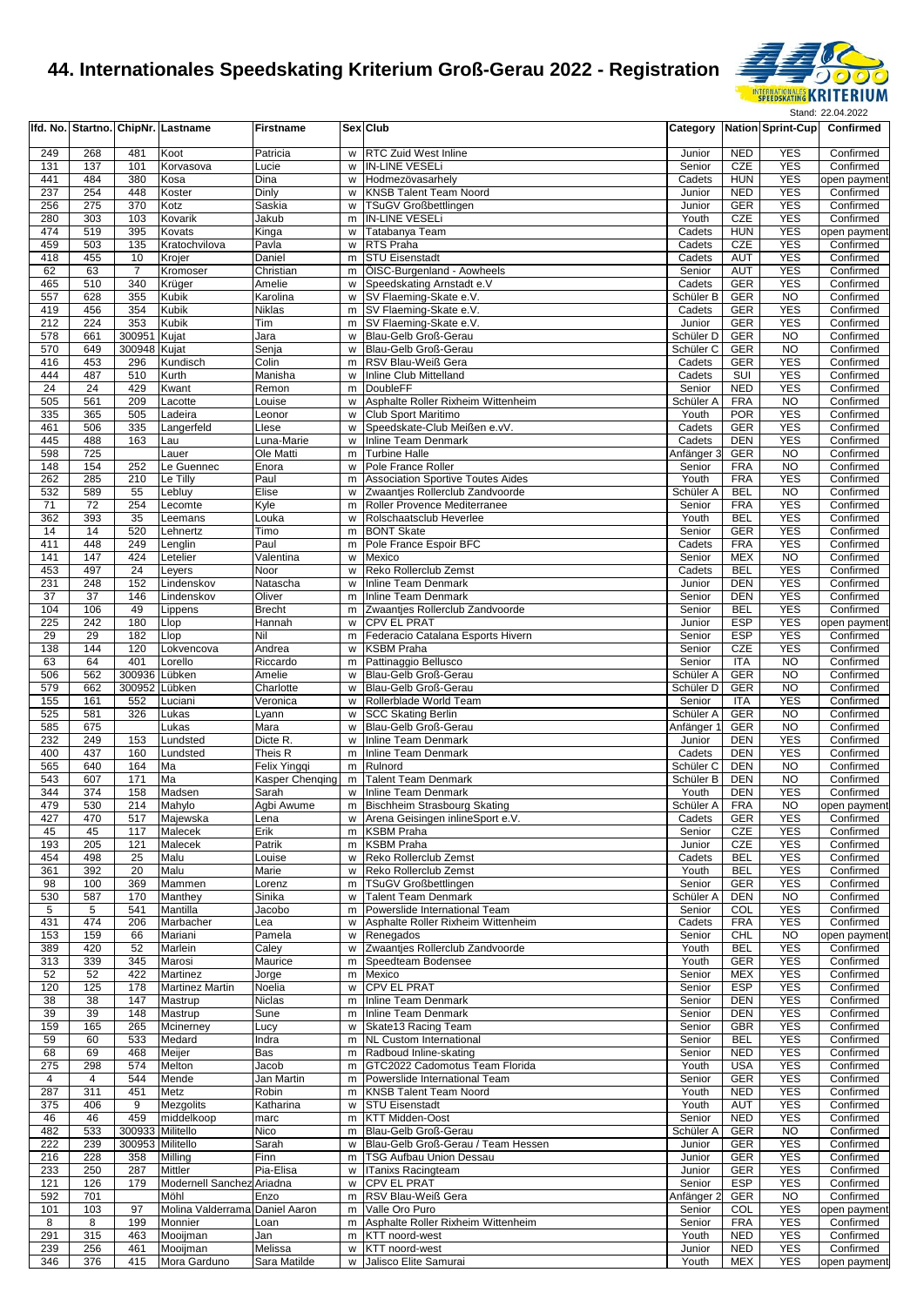

|            |            |                  | Ifd. No.   Startno.  ChipNr.   Lastname | <b>Firstname</b>   |          | <b>Sex Club</b>                                            |                                   |                          | Category   Nation Sprint-Cup | Confirmed                 |
|------------|------------|------------------|-----------------------------------------|--------------------|----------|------------------------------------------------------------|-----------------------------------|--------------------------|------------------------------|---------------------------|
| 249        | 268        | 481              | Koot                                    | Patricia           |          | w RTC Zuid West Inline                                     | Junior                            | <b>NED</b>               | <b>YES</b>                   | Confirmed                 |
| 131        | 137        | 101              | Korvasova                               | Lucie              | w        | <b>IN-LINE VESELI</b>                                      | Senior                            | <b>CZE</b>               | <b>YES</b>                   | Confirmed                 |
| 441        | 484        | 380              | Kosa                                    | Dina               | w        | Hodmezövasarhelv                                           | Cadets                            | <b>HUN</b>               | <b>YES</b>                   | open payment              |
| 237        | 254        | 448              | Koster                                  | Dinly              | w        | <b>KNSB Talent Team Noord</b>                              | Junior                            | <b>NED</b>               | <b>YES</b>                   | Confirmed                 |
| 256        | 275        | 370              | Kotz                                    | Saskia             | w        | <b>TSuGV Großbettlingen</b>                                | Junior                            | <b>GER</b>               | <b>YES</b>                   | Confirmed                 |
| 280<br>474 | 303<br>519 | 103<br>395       | Kovarik<br>Kovats                       | Jakub<br>Kinga     | m        | <b>IN-LINE VESELi</b><br>w Tatabanya Team                  | Youth<br>Cadets                   | CZE<br><b>HUN</b>        | <b>YES</b><br><b>YES</b>     | Confirmed<br>open payment |
| 459        | 503        | 135              | Kratochvilova                           | Pavla              | w        | RTS Praha                                                  | Cadets                            | CZE                      | <b>YES</b>                   | Confirmed                 |
| 418        | 455        | 10               | Krojer                                  | Daniel             | m        | <b>STU Eisenstadt</b>                                      | Cadets                            | <b>AUT</b>               | <b>YES</b>                   | Confirmed                 |
| 62         | 63         | $\overline{7}$   | Kromoser                                | Christian          | m        | <b>ÖISC-Burgenland - Aowheels</b>                          | Senior                            | AUT                      | <b>YES</b>                   | Confirmed                 |
| 465        | 510        | 340              | Krüger                                  | Amelie             |          | w Speedskating Arnstadt e.V                                | Cadets                            | <b>GER</b>               | <b>YES</b>                   | Confirmed                 |
| 557        | 628        | 355              | Kubik                                   | Karolina           |          | w SV Flaeming-Skate e.V.                                   | Schüler B                         | <b>GER</b>               | <b>NO</b>                    | Confirmed                 |
| 419        | 456        | 354              | Kubik                                   | Niklas             |          | m SV Flaeming-Skate e.V.                                   | Cadets                            | <b>GER</b>               | <b>YES</b>                   | Confirmed                 |
| 212        | 224        | 353              | Kubik                                   | Tim                |          | m SV Flaeming-Skate e.V.                                   | Junior                            | <b>GER</b>               | <b>YES</b>                   | Confirmed                 |
| 578<br>570 | 661<br>649 | 300951<br>300948 | Kujat<br>Kujat                          | Jara<br>Senja      | W<br>w   | Blau-Gelb Groß-Gerau<br>Blau-Gelb Groß-Gerau               | Schüler D<br>Schüler <sub>C</sub> | <b>GER</b><br><b>GER</b> | <b>NO</b><br><b>NO</b>       | Confirmed<br>Confirmed    |
| 416        | 453        | 296              | Kundisch                                | Colin              | m        | RSV Blau-Weiß Gera                                         | Cadets                            | <b>GER</b>               | <b>YES</b>                   | Confirmed                 |
| 444        | 487        | 510              | Kurth                                   | Manisha            | w        | Inline Club Mittelland                                     | Cadets                            | SUI                      | <b>YES</b>                   | Confirmed                 |
| 24         | 24         | 429              | Kwant                                   | Remon              | m        | <b>DoubleFF</b>                                            | Senior                            | <b>NED</b>               | <b>YES</b>                   | Confirmed                 |
| 505        | 561        | 209              | Lacotte                                 | Louise             | w        | Asphalte Roller Rixheim Wittenheim                         | Schüler A                         | <b>FRA</b>               | N <sub>O</sub>               | Confirmed                 |
| 335        | 365        | 505              | Ladeira                                 | Leonor             | w        | Club Sport Maritimo                                        | Youth                             | <b>POR</b>               | <b>YES</b>                   | Confirmed                 |
| 461        | 506        | 335              | Langerfeld                              | Llese              | w        | Speedskate-Club Meißen e.vV.                               | Cadets                            | <b>GER</b>               | <b>YES</b>                   | Confirmed                 |
| 445        | 488        | 163              | Lau                                     | Luna-Marie         | w        | <b>Inline Team Denmark</b>                                 | Cadets                            | <b>DEN</b>               | <b>YES</b>                   | Confirmed                 |
| 598<br>148 | 725<br>154 | 252              | Lauer<br>Le Guennec                     | Ole Matti<br>Enora | m<br>w   | <b>Turbine Halle</b><br>Pole France Roller                 | Anfänger 3<br>Senior              | <b>GER</b><br><b>FRA</b> | <b>NO</b><br><b>NO</b>       | Confirmed<br>Confirmed    |
| 262        | 285        | 210              | Le Tilly                                | Paul               | m        | <b>Association Sportive Toutes Aides</b>                   | Youth                             | <b>FRA</b>               | <b>YES</b>                   | Confirmed                 |
| 532        | 589        | 55               | Lebluy                                  | Elise              | w        | Zwaantjes Rollerclub Zandvoorde                            | Schüler A                         | <b>BEL</b>               | <b>NO</b>                    | Confirmed                 |
| 71         | 72         | 254              | Lecomte                                 | Kyle               | m        | Roller Provence Mediterranee                               | Senior                            | <b>FRA</b>               | <b>YES</b>                   | Confirmed                 |
| 362        | 393        | 35               | Leemans                                 | Louka              | w        | Rolschaatsclub Heverlee                                    | Youth                             | <b>BEL</b>               | <b>YES</b>                   | Confirmed                 |
| 14         | 14         | 520              | Lehnertz                                | Timo               | m        | <b>BONT Skate</b>                                          | Senior                            | <b>GER</b>               | <b>YES</b>                   | Confirmed                 |
| 411        | 448        | 249              | Lenglin                                 | Paul               | m        | Pole France Espoir BFC                                     | Cadets                            | <b>FRA</b>               | <b>YES</b>                   | Confirmed                 |
| 141        | 147        | 424              | Letelier                                | Valentina          | W        | Mexico                                                     | Senior                            | <b>MEX</b>               | <b>NO</b><br><b>YES</b>      | Confirmed                 |
| 453<br>231 | 497<br>248 | 24<br>152        | Leyers<br>Lindenskov                    | Noor<br>Natascha   | w<br>w   | Reko Rollerclub Zemst<br><b>Inline Team Denmark</b>        | Cadets<br>Junior                  | <b>BEL</b><br><b>DEN</b> | <b>YES</b>                   | Confirmed<br>Confirmed    |
| 37         | 37         | 146              | Lindenskov                              | Oliver             | m        | <b>Inline Team Denmark</b>                                 | Senior                            | <b>DEN</b>               | <b>YES</b>                   | Confirmed                 |
| 104        | 106        | 49               | Lippens                                 | <b>Brecht</b>      | m        | Zwaantjes Rollerclub Zandvoorde                            | Senior                            | <b>BEL</b>               | <b>YES</b>                   | Confirmed                 |
| 225        | 242        | 180              | Llop                                    | Hannah             | w        | <b>CPV EL PRAT</b>                                         | Junior                            | <b>ESP</b>               | <b>YES</b>                   | open payment              |
| 29         | 29         | 182              | Llop                                    | Nil                | m        | Federacio Catalana Esports Hivern                          | Senior                            | <b>ESP</b>               | <b>YES</b>                   | Confirmed                 |
| 138        | 144        | 120              | Lokvencova                              | Andrea             | w        | <b>KSBM Praha</b>                                          | Senior                            | CZE                      | <b>YES</b>                   | Confirmed                 |
| 63         | 64         | 401              | Lorello                                 | Riccardo           | m        | Pattinaggio Bellusco                                       | Senior                            | <b>ITA</b>               | <b>NO</b>                    | Confirmed                 |
| 506        | 562        | 300936           | Lübken                                  | Amelie             | w        | Blau-Gelb Groß-Gerau                                       | Schüler A                         | <b>GER</b>               | <b>NO</b>                    | Confirmed                 |
| 579        | 662        | 300952           | Lübken                                  | Charlotte          | w        | Blau-Gelb Groß-Gerau                                       | Schüler D                         | <b>GER</b>               | <b>NO</b><br><b>YES</b>      | Confirmed                 |
| 155<br>525 | 161<br>581 | 552<br>326       | Luciani<br>Lukas                        | Veronica<br>Lyann  | w<br>w   | Rollerblade World Team<br><b>SCC</b> Skating Berlin        | Senior<br>Schüler A               | <b>ITA</b><br><b>GER</b> | <b>NO</b>                    | Confirmed<br>Confirmed    |
| 585        | 675        |                  | Lukas                                   | Mara               | W        | Blau-Gelb Groß-Gerau                                       | Anfänger 1                        | <b>GER</b>               | <b>NO</b>                    | Confirmed                 |
| 232        | 249        | 153              | Lundsted                                | Dicte R.           | w        | <b>Inline Team Denmark</b>                                 | Junior                            | <b>DEN</b>               | <b>YES</b>                   | Confirmed                 |
| 400        | 437        | 160              | Lundsted                                | Theis R            | m        | Inline Team Denmark                                        | Cadets                            | <b>DEN</b>               | <b>YES</b>                   | Confirmed                 |
| 565        | 640        | 164              | Ma                                      | Felix Yingqi       |          | m Rulnord                                                  | Schüler C                         | <b>DEN</b>               | <b>NO</b>                    | Confirmed                 |
| 543        | 607        | 171              | Ma                                      | Kasper Chenging    | m        | <b>Talent Team Denmark</b>                                 | Schüler B                         | <b>DEN</b>               | <b>NO</b>                    | Confirmed                 |
| 344        | 374        | 158              | Madsen                                  | Sarah              | W        | <b>Inline Team Denmark</b>                                 | Youth                             | <b>DEN</b>               | <b>YES</b>                   | Confirmed                 |
| 479        | 530        | 214              | Mahylo                                  | Agbi Awume         | m        | <b>Bischheim Strasbourg Skating</b>                        | Schüler A                         | <b>FRA</b>               | <b>NO</b>                    | open payment              |
| 427<br>45  | 470<br>45  | 517<br>117       | Majewska<br>Malecek                     | Lena<br>Erik       |          | w Arena Geisingen inlineSport e.V.<br>m KSBM Praha         | Cadets<br>Senior                  | <b>GER</b><br>CZE        | <b>YES</b><br><b>YES</b>     | Confirmed<br>Confirmed    |
| 193        | 205        | 121              | Malecek                                 | Patrik             | m        | <b>KSBM Praha</b>                                          | Junior                            | CZE                      | <b>YES</b>                   | Confirmed                 |
| 454        | 498        | 25               | Malu                                    | Louise             | w        | Reko Rollerclub Zemst                                      | Cadets                            | <b>BEL</b>               | <b>YES</b>                   | Confirmed                 |
| 361        | 392        | 20               | Malu                                    | Marie              | w        | Reko Rollerclub Zemst                                      | Youth                             | <b>BEL</b>               | <b>YES</b>                   | Confirmed                 |
| 98         | 100        | 369              | Mammen                                  | Lorenz             |          | m   TSuGV Großbettlingen                                   | Senior                            | <b>GER</b>               | <b>YES</b>                   | Confirmed                 |
| 530        | 587        | 170              | Manthey                                 | Sinika             | w        | <b>Talent Team Denmark</b>                                 | Schüler A                         | <b>DEN</b>               | NO                           | Confirmed                 |
| 5          | 5          | 541              | Mantilla                                | Jacobo             | m        | Powerslide International Team                              | Senior                            | COL                      | <b>YES</b>                   | Confirmed                 |
| 431        | 474        | 206              | Marbacher                               | Lea                | w        | Asphalte Roller Rixheim Wittenheim                         | Cadets                            | <b>FRA</b>               | <b>YES</b>                   | Confirmed                 |
| 153<br>389 | 159<br>420 | 66<br>52         | Mariani<br>Marlein                      | Pamela<br>Caley    | w        | Renegados<br>w Zwaantjes Rollerclub Zandvoorde             | Senior<br>Youth                   | <b>CHL</b><br><b>BEL</b> | <b>NO</b><br><b>YES</b>      | open payment<br>Confirmed |
| 313        | 339        | 345              | Marosi                                  | Maurice            | m        | Speedteam Bodensee                                         | Youth                             | <b>GER</b>               | <b>YES</b>                   | Confirmed                 |
| 52         | 52         | 422              | Martinez                                | Jorge              |          | m Mexico                                                   | Senior                            | <b>MEX</b>               | <b>YES</b>                   | Confirmed                 |
| 120        | 125        | 178              | <b>Martinez Martin</b>                  | Noelia             | W        | CPV EL PRAT                                                | Senior                            | <b>ESP</b>               | <b>YES</b>                   | Confirmed                 |
| 38         | 38         | 147              | Mastrup                                 | Niclas             | m        | Inline Team Denmark                                        | Senior                            | <b>DEN</b>               | <b>YES</b>                   | Confirmed                 |
| 39         | 39         | 148              | Mastrup                                 | Sune               |          | m Inline Team Denmark                                      | Senior                            | <b>DEN</b>               | <b>YES</b>                   | Confirmed                 |
| 159        | 165        | 265              | Mcinerney                               | Lucy               |          | w Skate13 Racing Team                                      | Senior                            | <b>GBR</b>               | <b>YES</b>                   | Confirmed                 |
| 59         | 60         | 533              | Medard                                  | Indra              | m        | <b>NL Custom International</b>                             | Senior                            | <b>BEL</b>               | <b>YES</b>                   | Confirmed                 |
| 68<br>275  | 69<br>298  | 468<br>574       | Meijer<br>Melton                        | Bas<br>Jacob       | m        | m Radboud Inline-skating<br>GTC2022 Cadomotus Team Florida | Senior<br>Youth                   | <b>NED</b><br><b>USA</b> | <b>YES</b><br><b>YES</b>     | Confirmed<br>Confirmed    |
| 4          | 4          | 544              | Mende                                   | Jan Martin         |          | m Powerslide International Team                            | Senior                            | GER                      | <b>YES</b>                   | Confirmed                 |
| 287        | 311        | 451              | Metz                                    | Robin              |          | m KNSB Talent Team Noord                                   | Youth                             | <b>NED</b>               | <b>YES</b>                   | Confirmed                 |
| 375        | 406        | 9                | Mezgolits                               | Katharina          |          | w STU Eisenstadt                                           | Youth                             | AUT                      | <b>YES</b>                   | Confirmed                 |
| 46         | 46         | 459              | middelkoop                              | marc               | m        | <b>KTT Midden-Oost</b>                                     | Senior                            | <b>NED</b>               | <b>YES</b>                   | Confirmed                 |
| 482        | 533        | 300933 Militello |                                         | Nico               |          | m Blau-Gelb Groß-Gerau                                     | Schüler A                         | <b>GER</b>               | <b>NO</b>                    | Confirmed                 |
| 222        | 239        | 300953 Militello |                                         | Sarah              |          | w Blau-Gelb Groß-Gerau / Team Hessen                       | Junior                            | GER                      | <b>YES</b>                   | Confirmed                 |
| 216        | 228        | 358              | Milling                                 | Finn               |          | m   TSG Aufbau Union Dessau                                | Junior                            | GER                      | <b>YES</b>                   | Confirmed                 |
| 233        | 250        | 287              | Mittler                                 | Pia-Elisa          | W        | <b>ITanixs Racingteam</b>                                  | Junior                            | GER                      | <b>YES</b>                   | Confirmed                 |
| 121<br>592 | 126<br>701 | 179              | Modernell Sanchez Ariadna<br>Möhl       | Enzo               | w        | <b>CPV EL PRAT</b><br>m RSV Blau-Weiß Gera                 | Senior<br>Anfänger 2              | <b>ESP</b><br>GER        | <b>YES</b><br><b>NO</b>      | Confirmed<br>Confirmed    |
| 101        | 103        | 97               | Molina Valderrama Daniel Aaron          |                    |          | m Valle Oro Puro                                           | Senior                            | COL                      | <b>YES</b>                   | open payment              |
| 8          | 8          | 199              | Monnier                                 | Loan               |          | m Asphalte Roller Rixheim Wittenheim                       | Senior                            | <b>FRA</b>               | <b>YES</b>                   | Confirmed                 |
| 291        | 315        | 463              | Mooijman                                | Jan                |          | m KTT noord-west                                           | Youth                             | <b>NED</b>               | <b>YES</b>                   | Confirmed                 |
| 239        | 256        | 461              | Mooijman                                | Melissa            | w        | KTT noord-west                                             | Junior                            | <b>NED</b>               | <b>YES</b>                   | Confirmed                 |
| 346        | 376        | 415              | Mora Garduno                            | Sara Matilde       | <b>W</b> | Jalisco Elite Samurai                                      | Youth                             | MEX                      | <b>YES</b>                   | open payment              |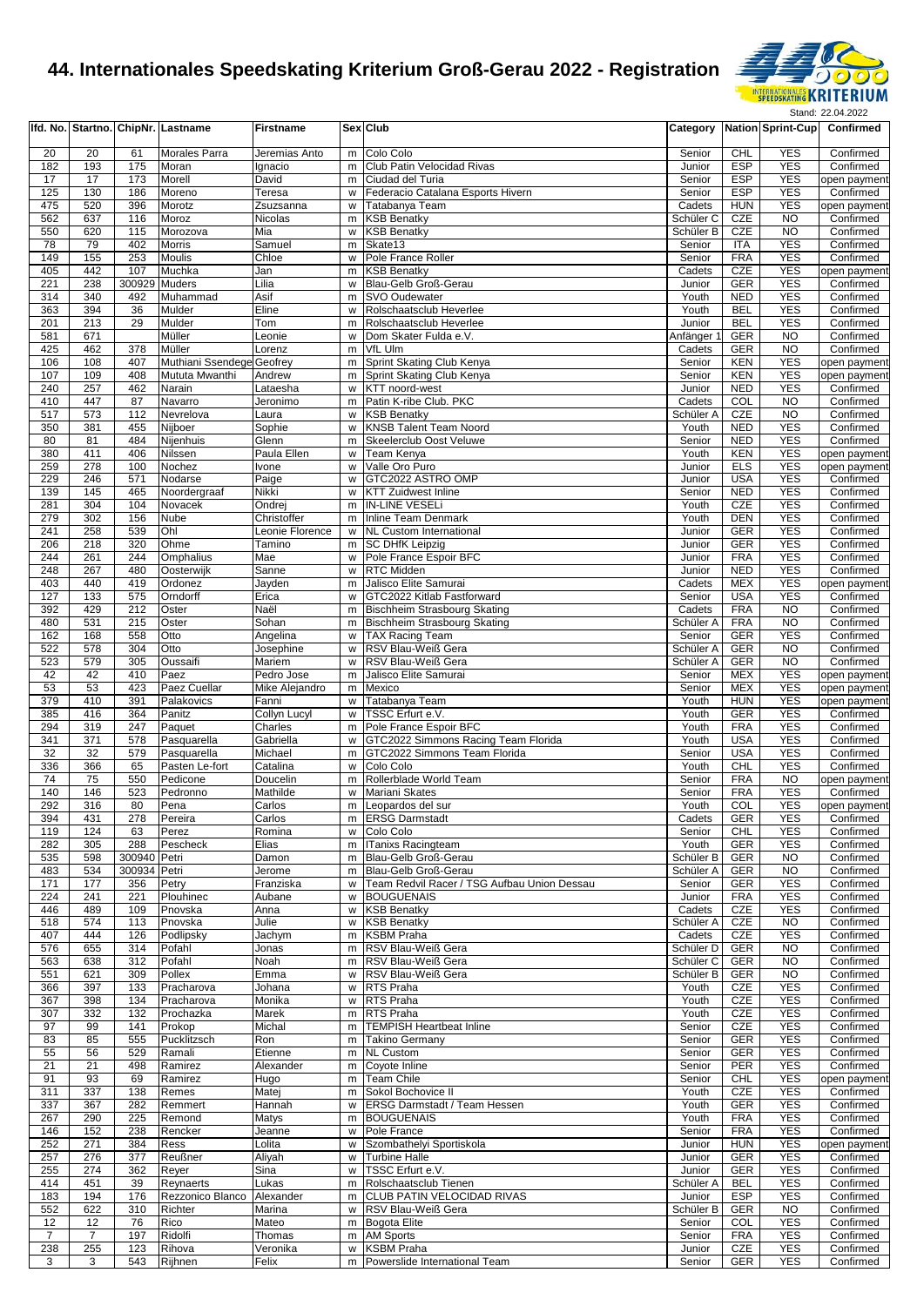

|                |            |              | Ifd. No. Startno. ChipNr. Lastname | <b>Firstname</b>         |        | <b>Sex Club</b>                                   |                      |                          |                          | Category Nation Sprint-Cup Confirmed |
|----------------|------------|--------------|------------------------------------|--------------------------|--------|---------------------------------------------------|----------------------|--------------------------|--------------------------|--------------------------------------|
| 20             | 20         | 61           |                                    |                          |        | m Colo Colo                                       | Senior               | <b>CHL</b>               | <b>YES</b>               | Confirmed                            |
| 182            | 193        | 175          | Morales Parra<br>Moran             | Jeremias Anto<br>Ignacio | m      | Club Patin Velocidad Rivas                        | Junior               | <b>ESP</b>               | <b>YES</b>               | Confirmed                            |
| 17             | 17         | 173          | Morell                             | David                    | m      | Ciudad del Turia                                  | Senior               | <b>ESP</b>               | <b>YES</b>               | open payment                         |
| 125            | 130        | 186          | Moreno                             | Teresa                   | W      | Federacio Catalana Esports Hivern                 | Senior               | <b>ESP</b>               | <b>YES</b>               | Confirmed                            |
| 475            | 520        | 396          | Morotz                             | Zsuzsanna                | w      | Tatabanya Team                                    | Cadets               | <b>HUN</b>               | <b>YES</b>               | open payment                         |
| 562            | 637        | 116          | Moroz                              | Nicolas                  | m      | <b>KSB Benatky</b>                                | Schüler <sub>C</sub> | <b>CZE</b>               | <b>NO</b>                | Confirmed                            |
| 550            | 620        | 115          | Morozova                           | Mia                      | w      | <b>KSB Benatky</b>                                | Schüler B            | CZE                      | N <sub>O</sub>           | Confirmed                            |
| 78             | 79         | 402          | Morris                             | Samuel                   | m      | Skate13                                           | Senior               | <b>ITA</b>               | <b>YES</b>               | Confirmed                            |
| 149            | 155        | 253          | Moulis                             | Chloe                    | w      | Pole France Roller                                | Senior               | <b>FRA</b>               | <b>YES</b>               | Confirmed                            |
| 405            | 442        | 107          | Muchka                             | Jan                      | m      | <b>KSB Benatky</b>                                | Cadets               | CZE                      | <b>YES</b>               | open payment                         |
| 221            | 238        | 300929       | <b>Muders</b>                      | Lilia                    | w      | Blau-Gelb Groß-Gerau                              | Junior               | <b>GER</b>               | <b>YES</b>               | Confirmed                            |
| 314            | 340        | 492          | Muhammad                           | Asif                     | m      | <b>SVO Oudewater</b>                              | Youth                | <b>NED</b>               | <b>YES</b>               | Confirmed                            |
| 363            | 394        | 36           | Mulder                             | Eline                    | W      | Rolschaatsclub Heverlee                           | Youth                | <b>BEL</b>               | <b>YES</b>               | Confirmed                            |
| 201            | 213        | 29           | Mulder                             | Tom                      | m      | Rolschaatsclub Heverlee                           | Junior               | <b>BEL</b>               | <b>YES</b>               | Confirmed                            |
| 581            | 671        |              | Müller                             | Leonie                   | w      | Dom Skater Fulda e.V.                             | Anfänger 1           | GER                      | <b>NO</b>                | Confirmed                            |
| 425            | 462        | 378          | Müller                             | Lorenz                   | m      | VfL Ulm                                           | Cadets               | GER                      | <b>NO</b>                | Confirmed                            |
| 106            | 108        | 407          | Muthiani Ssendege Geofrey          |                          | m      | Sprint Skating Club Kenya                         | Senior               | <b>KEN</b>               | <b>YES</b>               | open payment                         |
| 107            | 109        | 408          | Mututa Mwanthi                     | Andrew                   | m      | Sprint Skating Club Kenya                         | Senior               | <b>KEN</b>               | <b>YES</b>               | open payment                         |
| 240            | 257        | 462          | Narain                             | Lataesha                 | w      | KTT noord-west                                    | Junior               | <b>NED</b>               | <b>YES</b>               | Confirmed                            |
| 410            | 447        | 87           | Navarro                            | Jeronimo                 |        | m Patin K-ribe Club. PKC                          | Cadets               | COL                      | <b>NO</b>                | Confirmed                            |
| 517            | 573        | 112          | Nevrelova                          | Laura                    | w      | <b>KSB Benatky</b>                                | Schüler A            | CZE                      | <b>NO</b><br><b>YES</b>  | Confirmed                            |
| 350<br>80      | 381<br>81  | 455<br>484   | Nijboer<br>Nijenhuis               | Sophie<br>Glenn          | w<br>m | KNSB Talent Team Noord<br>Skeelerclub Oost Veluwe | Youth<br>Senior      | <b>NED</b><br><b>NED</b> | <b>YES</b>               | Confirmed<br>Confirmed               |
| 380            | 411        | 406          | Nilssen                            | Paula Ellen              |        | Team Kenya                                        | Youth                | <b>KEN</b>               | <b>YES</b>               |                                      |
| 259            | 278        | 100          | Nochez                             |                          | w      | Valle Oro Puro                                    | Junior               | <b>ELS</b>               | <b>YES</b>               | open payment                         |
| 229            | 246        | 571          | Nodarse                            | <b>Ivone</b><br>Paige    | w<br>w | GTC2022 ASTRO OMP                                 | Junior               | <b>USA</b>               | <b>YES</b>               | open payment<br>Confirmed            |
| 139            | 145        | 465          | Noordergraaf                       | Nikki                    | w      | <b>KTT Zuidwest Inline</b>                        | Senior               | <b>NED</b>               | <b>YES</b>               | Confirmed                            |
| 281            | 304        | 104          | Novacek                            | Ondrej                   | m      | <b>IN-LINE VESELi</b>                             | Youth                | CZE                      | <b>YES</b>               | Confirmed                            |
| 279            | 302        | 156          | Nube                               | Christoffer              | m      | <b>Inline Team Denmark</b>                        | Youth                | <b>DEN</b>               | <b>YES</b>               | Confirmed                            |
| 241            | 258        | 539          | Ohl                                | Leonie Florence          |        | w NL Custom International                         | Junior               | GER                      | <b>YES</b>               | Confirmed                            |
| 206            | 218        | 320          | Ohme                               | Tamino                   | m      | <b>SC DHfK Leipzig</b>                            | Junior               | GER                      | <b>YES</b>               | Confirmed                            |
| 244            | 261        | 244          | Omphalius                          | Mae                      | w      | Pole France Espoir BFC                            | Junior               | <b>FRA</b>               | <b>YES</b>               | Confirmed                            |
| 248            | 267        | 480          | Oosterwijk                         | Sanne                    | W      | <b>RTC Midden</b>                                 | Junior               | <b>NED</b>               | <b>YES</b>               | Confirmed                            |
| 403            | 440        | 419          | Ordonez                            | Jayden                   | m      | Jalisco Elite Samurai                             | Cadets               | <b>MEX</b>               | <b>YES</b>               | open payment                         |
| 127            | 133        | 575          | Orndorff                           | Erica                    | w      | GTC2022 Kitlab Fastforward                        | Senior               | <b>USA</b>               | <b>YES</b>               | Confirmed                            |
| 392            | 429        | 212          | Oster                              | Naël                     | m      | Bischheim Strasbourg Skating                      | Cadets               | <b>FRA</b>               | <b>NO</b>                | Confirmed                            |
| 480            | 531        | 215          | Oster                              | Sohan                    | m      | Bischheim Strasbourg Skating                      | Schüler A            | <b>FRA</b>               | N <sub>O</sub>           | Confirmed                            |
| 162            | 168        | 558          | Otto                               | Angelina                 | w      | <b>TAX Racing Team</b>                            | Senior               | GER                      | <b>YES</b>               | Confirmed                            |
| 522            | 578        | 304          | Otto                               | Josephine                | W      | RSV Blau-Weiß Gera                                | Schüler A            | <b>GER</b>               | <b>NO</b>                | Confirmed                            |
| 523            | 579        | 305          | Oussaifi                           | Mariem                   | W      | RSV Blau-Weiß Gera                                | Schüler A            | GER                      | <b>NO</b>                | Confirmed                            |
| 42             | 42         | 410          | Paez                               | Pedro Jose               | m      | Jalisco Elite Samurai                             | Senior               | <b>MEX</b>               | <b>YES</b>               | open payment                         |
| 53             | 53         | 423          | Paez Cuellar                       | Mike Alejandro           | m      | Mexico                                            | Senior               | <b>MEX</b>               | <b>YES</b>               | open payment                         |
| 379            | 410        | 391          | Palakovics                         | Fanni                    | W      | Tatabanya Team                                    | Youth                | <b>HUN</b>               | <b>YES</b>               | open payment                         |
| 385            | 416        | 364          | Panitz                             | <b>Collyn Lucyl</b>      | w      | TSSC Erfurt e.V.                                  | Youth                | <b>GER</b>               | <b>YES</b>               | Confirmed                            |
| 294            | 319        | 247          | Paquet                             | Charles                  | m      | Pole France Espoir BFC                            | Youth                | <b>FRA</b>               | <b>YES</b>               | Confirmed                            |
| 341            | 371        | 578          | Pasquarella                        | Gabriella                | w      | GTC2022 Simmons Racing Team Florida               | Youth                | <b>USA</b>               | <b>YES</b>               | Confirmed                            |
| 32             | 32         | 579          | Pasquarella                        | Michael                  | m      | GTC2022 Simmons Team Florida                      | Senior               | <b>USA</b>               | <b>YES</b>               | Confirmed                            |
| 336            | 366        | 65           | Pasten Le-fort                     | Catalina                 | W      | Colo Colo                                         | Youth                | <b>CHL</b>               | <b>YES</b>               | Confirmed                            |
| 74             | 75         | 550          | Pedicone                           | Doucelin                 | m      | Rollerblade World Team                            | Senior               | <b>FRA</b>               | <b>NO</b>                | open payment                         |
| 140            | 146        | 523          | Pedronno                           | Mathilde                 | w      | Mariani Skates                                    | Senior               | <b>FRA</b>               | <b>YES</b>               | Confirmed                            |
| 292            | 316        | 80<br>278    | Pena                               | Carlos                   | m      | Leopardos del sur<br>m ERSG Darmstadt             | Youth<br>Cadets      | COL<br>GER               | <b>YES</b><br><b>YES</b> | open payment                         |
| 394            | 431        |              | Pereira                            | Carlos                   |        |                                                   | Senior               |                          | <b>YES</b>               | Confirmed                            |
| 119<br>282     | 124<br>305 | 63<br>288    | Perez<br>Pescheck                  | Romina<br>Elias          |        | w Colo Colo<br>m   ITanixs Racingteam             | Youth                | CHL<br>GER               | <b>YES</b>               | Confirmed<br>Confirmed               |
| 535            | 598        | 300940 Petri |                                    | Damon                    |        | m Blau-Gelb Groß-Gerau                            | Schüler B            | GER                      | <b>NO</b>                | Confirmed                            |
| 483            | 534        | 300934 Petri |                                    | Jerome                   | m      | Blau-Gelb Groß-Gerau                              | Schüler A            | GER                      | <b>NO</b>                | Confirmed                            |
| 171            | 177        | 356          | Petry                              | Franziska                |        | w Team Redvil Racer / TSG Aufbau Union Dessau     | Senior               | <b>GER</b>               | <b>YES</b>               | Confirmed                            |
| 224            | 241        | 221          | Plouhinec                          | Aubane                   | w      | <b>BOUGUENAIS</b>                                 | Junior               | <b>FRA</b>               | <b>YES</b>               | Confirmed                            |
| 446            | 489        | 109          | Pnovska                            | Anna                     | w      | <b>KSB Benatky</b>                                | Cadets               | CZE                      | <b>YES</b>               | Confirmed                            |
| 518            | 574        | 113          | Pnovska                            | Julie                    |        | w KSB Benatky                                     | Schüler A            | CZE                      | <b>NO</b>                | Confirmed                            |
| 407            | 444        | 126          | Podlipsky                          | Jachym                   | m      | <b>KSBM Praha</b>                                 | Cadets               | CZE                      | <b>YES</b>               | Confirmed                            |
| 576            | 655        | 314          | Pofahl                             | Jonas                    | m      | RSV Blau-Weiß Gera                                | Schüler D            | GER                      | <b>NO</b>                | Confirmed                            |
| 563            | 638        | 312          | Pofahl                             | Noah                     | m      | RSV Blau-Weiß Gera                                | Schüler C            | <b>GER</b>               | <b>NO</b>                | Confirmed                            |
| 551            | 621        | 309          | Pollex                             | Emma                     | w      | RSV Blau-Weiß Gera                                | Schüler B            | GER                      | NO                       | Confirmed                            |
| 366            | 397        | 133          | Pracharova                         | Johana                   |        | w RTS Praha                                       | Youth                | CZE                      | <b>YES</b>               | Confirmed                            |
| 367            | 398        | 134          | Pracharova                         | Monika                   |        | w RTS Praha                                       | Youth                | CZE                      | <b>YES</b>               | Confirmed                            |
| 307            | 332        | 132          | Prochazka                          | Marek                    | m      | <b>RTS Praha</b>                                  | Youth                | CZE                      | <b>YES</b>               | Confirmed                            |
| 97             | 99         | 141          | Prokop                             | Michal                   | m      | <b>TEMPISH Heartbeat Inline</b>                   | Senior               | CZE                      | <b>YES</b>               | Confirmed                            |
| 83             | 85         | 555          | Pucklitzsch                        | Ron                      | m      | <b>Takino Germany</b>                             | Senior               | GER                      | <b>YES</b>               | Confirmed                            |
| 55             | 56         | 529          | Ramali                             | Etienne                  | m      | <b>NL Custom</b>                                  | Senior               | GER                      | <b>YES</b>               | Confirmed                            |
| 21             | 21         | 498          | Ramirez                            | Alexander                | m      | Coyote Inline                                     | Senior               | <b>PER</b>               | <b>YES</b>               | Confirmed                            |
| 91             | 93         | 69           | Ramirez                            | Hugo                     |        | m Team Chile                                      | Senior               | <b>CHL</b>               | <b>YES</b>               | open payment                         |
| 311            | 337        | 138          | Remes                              | Matej                    | m      | Sokol Bochovice II                                | Youth                | CZE                      | <b>YES</b>               | Confirmed                            |
| 337            | 367        | 282          | Remmert                            | Hannah                   | w      | <b>ERSG Darmstadt / Team Hessen</b>               | Youth                | GER                      | <b>YES</b>               | Confirmed                            |
| 267            | 290        | 225          | Remond                             | Matys                    | m      | <b>BOUGUENAIS</b>                                 | Youth                | <b>FRA</b>               | <b>YES</b>               | Confirmed                            |
| 146            | 152        | 238          | Rencker                            | Jeanne                   | w      | Pole France                                       | Senior               | <b>FRA</b>               | <b>YES</b>               | Confirmed                            |
| 252            | 271        | 384          | Ress                               | Lolita                   | w      | Szombathelyi Sportiskola                          | Junior               | <b>HUN</b>               | <b>YES</b>               | open payment                         |
| 257            | 276        | 377          | Reußner                            | Aliyah                   | W      | <b>Turbine Halle</b>                              | Junior               | GER                      | <b>YES</b>               | Confirmed                            |
| 255            | 274        | 362          | Reyer                              | Sina                     | w      | TSSC Erfurt e.V.<br>Rolschaatsclub Tienen         | Junior               | GER<br><b>BEL</b>        | <b>YES</b><br><b>YES</b> | Confirmed<br>Confirmed               |
| 414<br>183     | 451<br>194 | 39<br>176    | Reynaerts<br>Rezzonico Blanco      | Lukas<br>Alexander       | m<br>m | CLUB PATIN VELOCIDAD RIVAS                        | Schüler A<br>Junior  | <b>ESP</b>               | <b>YES</b>               | Confirmed                            |
| 552            | 622        | 310          | Richter                            | Marina                   | w      | RSV Blau-Weiß Gera                                | Schüler B            | <b>GER</b>               | <b>NO</b>                | Confirmed                            |
| 12             | 12         | 76           | Rico                               | Mateo                    |        | m Bogota Elite                                    | Senior               | COL                      | <b>YES</b>               | Confirmed                            |
| $\overline{7}$ | 7          | 197          | Ridolfi                            | Thomas                   |        | m AM Sports                                       | Senior               | <b>FRA</b>               | <b>YES</b>               | Confirmed                            |
| 238            | 255        | 123          | Rihova                             | Veronika                 |        | w KSBM Praha                                      | Junior               | CZE                      | <b>YES</b>               | Confirmed                            |
| 3              | 3          | 543          | Rijhnen                            | Felix                    |        | m Powerslide International Team                   | Senior               | <b>GER</b>               | <b>YES</b>               | Confirmed                            |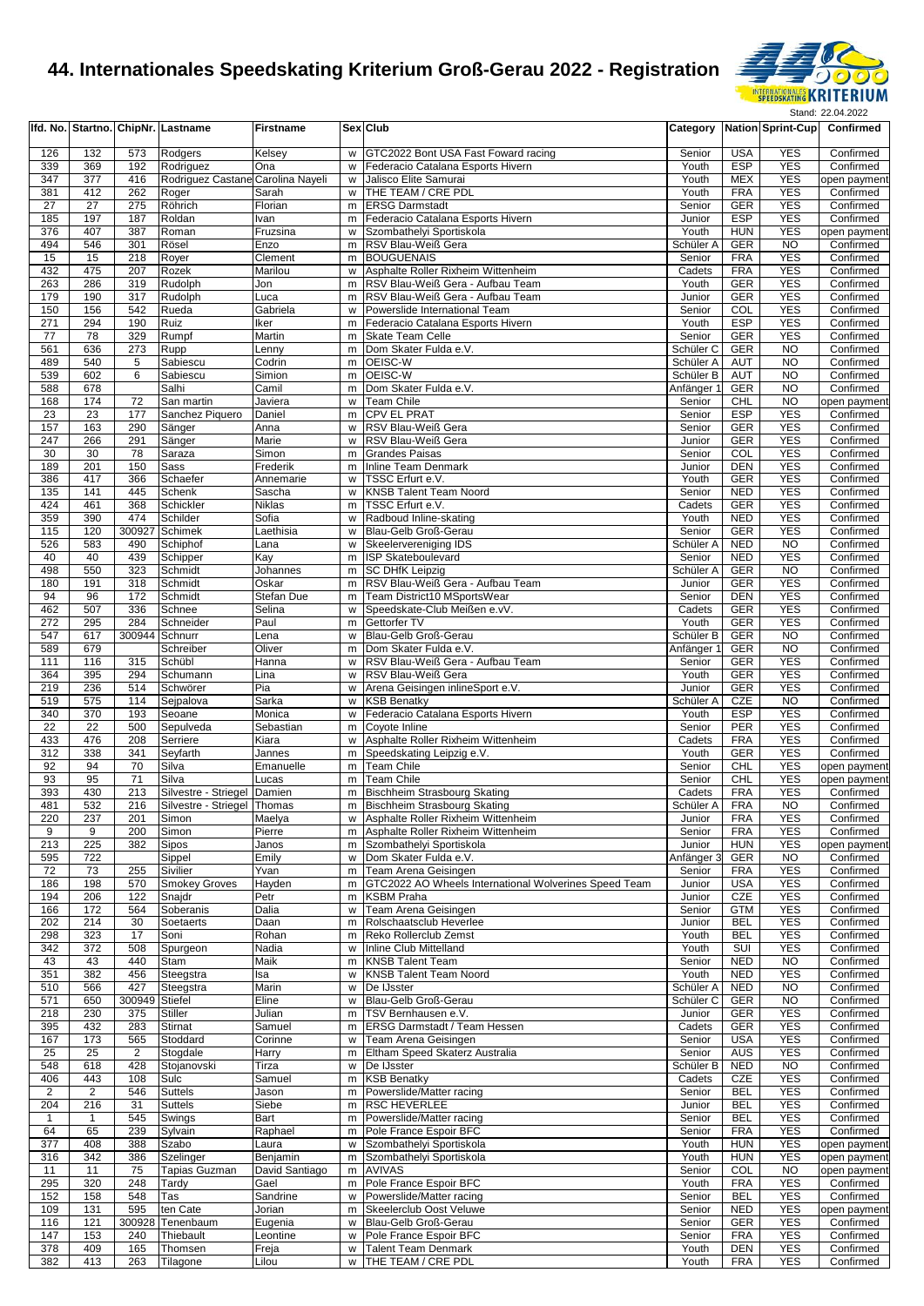

|                |                |                | Ifd. No. Startno. ChipNr. Lastname | <b>Firstname</b>    |          | <b>Sex Club</b>                                         |                      |                          |                          | Category Nation Sprint-Cup Confirmed |
|----------------|----------------|----------------|------------------------------------|---------------------|----------|---------------------------------------------------------|----------------------|--------------------------|--------------------------|--------------------------------------|
| 126            | 132            | 573            | Rodgers                            | Kelsey              | w        | GTC2022 Bont USA Fast Foward racing                     | Senior               | <b>USA</b>               | <b>YES</b>               | Confirmed                            |
| 339            | 369            | 192            | Rodriguez                          | Ona                 | W        | Federacio Catalana Esports Hivern                       | Youth                | <b>ESP</b>               | <b>YES</b>               | Confirmed                            |
| 347            | 377            | 416            | Rodriguez Castane Carolina Nayeli  |                     | W        | Jalisco Elite Samurai                                   | Youth                | <b>MEX</b>               | <b>YES</b>               | open payment                         |
| 381            | 412            | 262            | Roger                              | Sarah               |          | w THE TEAM / CRE PDL                                    | Youth                | <b>FRA</b>               | <b>YES</b>               | Confirmed                            |
| 27             | 27             | 275            | Röhrich                            | Florian             |          | m <b>ERSG</b> Darmstadt                                 | Senior               | <b>GER</b>               | <b>YES</b>               | Confirmed                            |
| 185            | 197            | 187            | Roldan                             | Ivan                | m        | Federacio Catalana Esports Hivern                       | Junior               | <b>ESP</b>               | <b>YES</b>               | Confirmed                            |
| 376            | 407            | 387            | Roman                              | Fruzsina            | w        | Szombathelyi Sportiskola                                | Youth                | <b>HUN</b>               | <b>YES</b>               | open payment                         |
| 494            | 546            | 301            | Rösel                              | Enzo                | m        | RSV Blau-Weiß Gera                                      | Schüler A            | GER                      | <b>NO</b>                | Confirmed                            |
| 15<br>432      | 15<br>475      | 218<br>207     | Royer<br>Rozek                     | Clement<br>Marilou  | m<br>W   | <b>BOUGUENAIS</b><br>Asphalte Roller Rixheim Wittenheim | Senior<br>Cadets     | <b>FRA</b><br><b>FRA</b> | <b>YES</b><br><b>YES</b> | Confirmed<br>Confirmed               |
| 263            | 286            | 319            | Rudolph                            | Jon                 | m        | RSV Blau-Weiß Gera - Aufbau Team                        | Youth                | <b>GER</b>               | <b>YES</b>               | Confirmed                            |
| 179            | 190            | 317            | Rudolph                            | Luca                | m        | RSV Blau-Weiß Gera - Aufbau Team                        | Junior               | <b>GER</b>               | <b>YES</b>               | Confirmed                            |
| 150            | 156            | 542            | Rueda                              | Gabriela            | W        | Powerslide International Team                           | Senior               | COL                      | <b>YES</b>               | Confirmed                            |
| 271            | 294            | 190            | Ruiz                               | Iker                | m        | Federacio Catalana Esports Hivern                       | Youth                | <b>ESP</b>               | <b>YES</b>               | Confirmed                            |
| 77             | 78             | 329            | Rumpf                              | Martin              |          | m Skate Team Celle                                      | Senior               | GER                      | <b>YES</b>               | Confirmed                            |
| 561            | 636            | 273            | Rupp                               | Lenny               | m        | Dom Skater Fulda e.V.                                   | Schüler <sub>C</sub> | GER                      | <b>NO</b>                | Confirmed                            |
| 489            | 540            | 5              | Sabiescu                           | Codrin              | m        | OEISC-W                                                 | Schüler A            | <b>AUT</b>               | N <sub>O</sub>           | Confirmed                            |
| 539            | 602            | 6              | Sabiescu                           | Simion              | m        | OEISC-W                                                 | Schüler B            | <b>AUT</b>               | <b>NO</b>                | Confirmed                            |
| 588            | 678            |                | Salhi                              | Camil               | m        | Dom Skater Fulda e.V.                                   | Anfänger 1           | GER                      | <b>NO</b>                | Confirmed                            |
| 168<br>23      | 174<br>23      | 72<br>177      | San martin<br>Sanchez Piquero      | Javiera<br>Daniel   | w I<br>m | Team Chile<br>CPV EL PRAT                               | Senior<br>Senior     | CHL<br><b>ESP</b>        | <b>NO</b><br><b>YES</b>  | open payment<br>Confirmed            |
| 157            | 163            | 290            | Sänger                             | Anna                | w        | RSV Blau-Weiß Gera                                      | Senior               | <b>GER</b>               | <b>YES</b>               | Confirmed                            |
| 247            | 266            | 291            | Sänger                             | Marie               | w        | RSV Blau-Weiß Gera                                      | Junior               | <b>GER</b>               | <b>YES</b>               | Confirmed                            |
| 30             | 30             | 78             | Saraza                             | Simon               | m        | <b>Grandes Paisas</b>                                   | Senior               | COL                      | <b>YES</b>               | Confirmed                            |
| 189            | 201            | 150            | Sass                               | Frederik            | m        | Inline Team Denmark                                     | Junior               | <b>DEN</b>               | <b>YES</b>               | Confirmed                            |
| 386            | 417            | 366            | Schaefer                           | Annemarie           | w        | TSSC Erfurt e.V.                                        | Youth                | <b>GER</b>               | <b>YES</b>               | Confirmed                            |
| 135            | 141            | 445            | Schenk                             | Sascha              | w        | <b>KNSB Talent Team Noord</b>                           | Senior               | <b>NED</b>               | <b>YES</b>               | Confirmed                            |
| 424            | 461            | 368            | Schickler                          | Niklas              | m        | TSSC Erfurt e.V.                                        | Cadets               | GER                      | <b>YES</b>               | Confirmed                            |
| 359            | 390            | 474            | Schilder                           | Sofia               | W        | Radboud Inline-skating                                  | Youth                | <b>NED</b>               | <b>YES</b>               | Confirmed                            |
| 115            | 120            | 300927         | Schimek                            | Laethisia           | w        | Blau-Gelb Groß-Gerau                                    | Senior               | GER                      | <b>YES</b>               | Confirmed                            |
| 526            | 583            | 490            | Schiphof                           | Lana                | w        | Skeelervereniging IDS                                   | Schüler A            | <b>NED</b>               | <b>NO</b>                | Confirmed                            |
| 40<br>498      | 40<br>550      | 439<br>323     | Schipper<br>Schmidt                | Kay<br>Johannes     | m<br>m   | <b>ISP Skateboulevard</b><br><b>SC DHfK Leipzig</b>     | Senior<br>Schüler A  | <b>NED</b><br>GER        | <b>YES</b><br><b>NO</b>  | Confirmed<br>Confirmed               |
| 180            | 191            | 318            | Schmidt                            | Oskar               | m        | RSV Blau-Weiß Gera - Aufbau Team                        | Junior               | <b>GER</b>               | <b>YES</b>               | Confirmed                            |
| 94             | 96             | 172            | Schmidt                            | Stefan Due          | m        | Team District10 MSportsWear                             | Senior               | <b>DEN</b>               | <b>YES</b>               | Confirmed                            |
| 462            | 507            | 336            | Schnee                             | Selina              | w        | Speedskate-Club Meißen e.vV.                            | Cadets               | GER                      | <b>YES</b>               | Confirmed                            |
| 272            | 295            | 284            | Schneider                          | Paul                | m        | Gettorfer TV                                            | Youth                | <b>GER</b>               | <b>YES</b>               | Confirmed                            |
| 547            | 617            | 300944 Schnurr |                                    | Lena                | W        | Blau-Gelb Groß-Gerau                                    | Schüler B            | GER                      | <b>NO</b>                | Confirmed                            |
| 589            | 679            |                | Schreiber                          | Oliver              | m        | Dom Skater Fulda e.V.                                   | Anfänger 1           | GER                      | <b>NO</b>                | Confirmed                            |
| 111            | 116            | 315            | Schübl                             | Hanna               | w        | RSV Blau-Weiß Gera - Aufbau Team                        | Senior               | GER                      | <b>YES</b>               | Confirmed                            |
| 364            | 395            | 294            | Schumann                           | Lina                | w        | RSV Blau-Weiß Gera                                      | Youth                | GER                      | <b>YES</b>               | Confirmed                            |
| 219            | 236            | 514            | Schwörer                           | Pia                 | w        | Arena Geisingen inlineSport e.V.                        | Junior               | <b>GER</b>               | <b>YES</b>               | Confirmed                            |
| 519            | 575            | 114            | Sejpalova                          | Sarka               | w        | <b>KSB Benatky</b>                                      | Schüler A            | CZE                      | <b>NO</b>                | Confirmed                            |
| 340<br>22      | 370<br>22      | 193<br>500     | Seoane<br>Sepulveda                | Monica<br>Sebastian | w<br>m   | Federacio Catalana Esports Hivern<br>Coyote Inline      | Youth<br>Senior      | <b>ESP</b><br>PER        | <b>YES</b><br><b>YES</b> | Confirmed<br>Confirmed               |
| 433            | 476            | 208            | Serriere                           | Kiara               | w        | Asphalte Roller Rixheim Wittenheim                      | Cadets               | <b>FRA</b>               | <b>YES</b>               | Confirmed                            |
| 312            | 338            | 341            | Seyfarth                           | Jannes              | m        | Speedskating Leipzig e.V.                               | Youth                | <b>GER</b>               | <b>YES</b>               | Confirmed                            |
| 92             | 94             | 70             | Silva                              | Emanuelle           | m        | Team Chile                                              | Senior               | <b>CHL</b>               | <b>YES</b>               | open payment                         |
| 93             | 95             | 71             | Silva                              | Lucas               | m        | Team Chile                                              | Senior               | <b>CHL</b>               | <b>YES</b>               | open payment                         |
| 393            | 430            | 213            | Silvestre - Striegel Damien        |                     |          | m Bischheim Strasbourg Skating                          | Cadets               | <b>FRA</b>               | <b>YES</b>               | Confirmed                            |
| 481            | 532            | 216            | Silvestre - Striegel Thomas        |                     |          | m Bischheim Strasbourg Skating                          | Schüler A            | <b>FRA</b>               | <b>NO</b>                | Confirmed                            |
| 220            | 237            | 201            | Simon                              | Maelya              |          | w Asphalte Roller Rixheim Wittenheim                    | Junior               | <b>FRA</b>               | <b>YES</b>               | Confirmed                            |
| 9              | 9              | 200            | Simon                              | Pierre              |          | m Asphalte Roller Rixheim Wittenheim                    | Senior               | <b>FRA</b>               | <b>YES</b>               | Confirmed                            |
| 213<br>595     | 225<br>722     | 382            | Sipos<br>Sippel                    | Janos<br>Emily      | w        | m Szombathelyi Sportiskola<br>Dom Skater Fulda e.V.     | Junior<br>Anfänger 3 | <b>HUN</b><br><b>GER</b> | <b>YES</b><br><b>NO</b>  | open payment<br>Confirmed            |
| 72             | 73             | 255            | Sivilier                           | Yvan                |          | m Team Arena Geisingen                                  | Senior               | <b>FRA</b>               | <b>YES</b>               | Confirmed                            |
| 186            | 198            | 570            | <b>Smokey Groves</b>               | Hayden              | m        | GTC2022 AO Wheels International Wolverines Speed Team   | Junior               | <b>USA</b>               | <b>YES</b>               | Confirmed                            |
| 194            | 206            | 122            | Snajdr                             | Petr                | m        | <b>KSBM Praha</b>                                       | Junior               | CZE                      | <b>YES</b>               | Confirmed                            |
| 166            | 172            | 564            | Soberanis                          | Dalia               | W        | Team Arena Geisingen                                    | Senior               | <b>GTM</b>               | <b>YES</b>               | Confirmed                            |
| 202            | 214            | 30             | Soetaerts                          | Daan                | m        | Rolschaatsclub Heverlee                                 | Junior               | <b>BEL</b>               | <b>YES</b>               | Confirmed                            |
| 298            | 323            | 17             | Soni                               | Rohan               | m        | Reko Rollerclub Zemst                                   | Youth                | <b>BEL</b>               | <b>YES</b>               | Confirmed                            |
| 342            | 372            | 508            | Spurgeon                           | Nadia               | W        | Inline Club Mittelland                                  | Youth                | SUI                      | <b>YES</b>               | Confirmed                            |
| 43             | 43             | 440            | Stam                               | Maik                | m        | <b>KNSB Talent Team</b>                                 | Senior               | <b>NED</b>               | <b>NO</b>                | Confirmed                            |
| 351<br>510     | 382<br>566     | 456<br>427     | Steegstra                          | Isa<br>Marin        | w        | <b>KNSB Talent Team Noord</b><br>De IJsster             | Youth<br>Schüler A   | <b>NED</b><br><b>NED</b> | <b>YES</b><br><b>NO</b>  | Confirmed<br>Confirmed               |
| 571            | 650            | 300949         | Steegstra<br><b>Stiefel</b>        | Eline               | W<br>W   | Blau-Gelb Groß-Gerau                                    | Schüler C            | GER                      | <b>NO</b>                | Confirmed                            |
| 218            | 230            | 375            | <b>Stiller</b>                     | Julian              | m        | TSV Bernhausen e.V.                                     | Junior               | <b>GER</b>               | <b>YES</b>               | Confirmed                            |
| 395            | 432            | 283            | Stirnat                            | Samuel              | m        | <b>ERSG Darmstadt / Team Hessen</b>                     | Cadets               | GER                      | <b>YES</b>               | Confirmed                            |
| 167            | 173            | 565            | Stoddard                           | Corinne             | w        | Team Arena Geisingen                                    | Senior               | <b>USA</b>               | <b>YES</b>               | Confirmed                            |
| 25             | 25             | 2              | Stogdale                           | Harry               | m        | Eltham Speed Skaterz Australia                          | Senior               | AUS                      | <b>YES</b>               | Confirmed                            |
| 548            | 618            | 428            | Stojanovski                        | Tirza               | w        | De IJsster                                              | Schüler B            | <b>NED</b>               | <b>NO</b>                | Confirmed                            |
| 406            | 443            | 108            | Sulc                               | Samuel              | m        | <b>KSB Benatky</b>                                      | Cadets               | CZE                      | <b>YES</b>               | Confirmed                            |
| $\overline{2}$ | $\overline{2}$ | 546            | <b>Suttels</b>                     | Jason               | m        | Powerslide/Matter racing                                | Senior               | <b>BEL</b>               | <b>YES</b>               | Confirmed                            |
| 204            | 216            | 31             | <b>Suttels</b>                     | Siebe               | m        | <b>RSC HEVERLEE</b>                                     | Junior               | <b>BEL</b>               | <b>YES</b>               | Confirmed                            |
| 1              | 1              | 545            | Swings                             | Bart                | m        | Powerslide/Matter racing                                | Senior               | <b>BEL</b>               | <b>YES</b>               | Confirmed                            |
| 64<br>377      | 65<br>408      | 239<br>388     | Sylvain<br>Szabo                   | Raphael<br>Laura    | m<br>w   | Pole France Espoir BFC<br>Szombathelyi Sportiskola      | Senior<br>Youth      | <b>FRA</b><br><b>HUN</b> | <b>YES</b><br><b>YES</b> | Confirmed<br>open payment            |
| 316            | 342            | 386            | Szelinger                          | Benjamin            | m        | Szombathelyi Sportiskola                                | Youth                | <b>HUN</b>               | <b>YES</b>               | open payment                         |
| 11             | 11             | 75             | Tapias Guzman                      | David Santiago      | m        | <b>AVIVAS</b>                                           | Senior               | COL                      | <b>NO</b>                | open payment                         |
| 295            | 320            | 248            | Tardy                              | Gael                | m        | Pole France Espoir BFC                                  | Youth                | <b>FRA</b>               | <b>YES</b>               | Confirmed                            |
| 152            | 158            | 548            | Tas                                | Sandrine            |          | w Powerslide/Matter racing                              | Senior               | <b>BEL</b>               | <b>YES</b>               | Confirmed                            |
| 109            | 131            | 595            | ten Cate                           | Jorian              | m        | Skeelerclub Oost Veluwe                                 | Senior               | <b>NED</b>               | <b>YES</b>               | open payment                         |
| 116            | 121            |                | 300928 Tenenbaum                   | Eugenia             | W        | Blau-Gelb Groß-Gerau                                    | Senior               | GER                      | <b>YES</b>               | Confirmed                            |
| 147            | 153            | 240            | Thiebault                          | Leontine            |          | w Pole France Espoir BFC                                | Senior               | <b>FRA</b>               | <b>YES</b>               | Confirmed                            |
| 378            | 409            | 165            | Thomsen                            | Freja               |          | w Talent Team Denmark                                   | Youth                | DEN                      | <b>YES</b>               | Confirmed                            |
| 382            | 413            |                | 263 Tilagone                       | Lilou               |          | w THE TEAM / CRE PDL                                    | Youth                | <b>FRA</b>               | <b>YES</b>               | Confirmed                            |